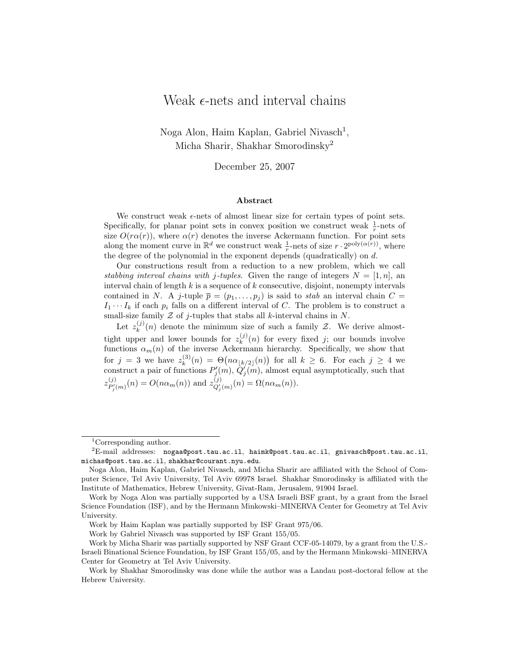# Weak  $\epsilon$ -nets and interval chains

Noga Alon, Haim Kaplan, Gabriel Nivasch<sup>1</sup>, Micha Sharir, Shakhar Smorodinsky<sup>2</sup>

December 25, 2007

#### Abstract

We construct weak  $\epsilon$ -nets of almost linear size for certain types of point sets. Specifically, for planar point sets in convex position we construct weak  $\frac{1}{r}$ -nets of size  $O(r\alpha(r))$ , where  $\alpha(r)$  denotes the inverse Ackermann function. For point sets along the moment curve in  $\mathbb{R}^d$  we construct weak  $\frac{1}{r}$ -nets of size  $r \cdot 2^{\text{poly}(\alpha(r))}$ , where the degree of the polynomial in the exponent depends (quadratically) on d.

Our constructions result from a reduction to a new problem, which we call stabbing interval chains with j-tuples. Given the range of integers  $N = [1, n]$ , an interval chain of length  $k$  is a sequence of  $k$  consecutive, disjoint, nonempty intervals contained in N. A j-tuple  $\bar{p} = (p_1, \ldots, p_j)$  is said to stab an interval chain  $C =$  $I_1 \cdots I_k$  if each  $p_i$  falls on a different interval of C. The problem is to construct a small-size family  $Z$  of j-tuples that stabs all k-interval chains in  $N$ .

Let  $z_k^{(j)}$  $\binom{1}{k}(n)$  denote the minimum size of such a family  $\mathcal{Z}$ . We derive almosttight upper and lower bounds for  $z_k^{(j)}$  $\binom{N}{k}(n)$  for every fixed j; our bounds involve functions  $\alpha_m(n)$  of the inverse Ackermann hierarchy. Specifically, we show that for  $j = 3$  we have  $z_k^{(3)}$  $\mathcal{R}_k^{(3)}(n) = \Theta\big(n\alpha_{\lfloor k/2 \rfloor}(n)\big)$  for all  $k \geq 6$ . For each  $j \geq 4$  we construct a pair of functions  $P'_{j}(m)$ ,  $\tilde{Q}'_{j}(m)$ , almost equal asymptotically, such that  $z_{P'_{j}(m)}^{(j)}(n) = O(n\alpha_{m}(n))$  and  $z_{Q'_{j}(m)}^{(j)}(n) = \Omega(n\alpha_{m}(n)).$ 

<sup>&</sup>lt;sup>1</sup>Corresponding author.

 ${}^{2}$ E-mail addresses: nogaa@post.tau.ac.il, haimk@post.tau.ac.il, gnivasch@post.tau.ac.il, michas@post.tau.ac.il, shakhar@courant.nyu.edu.

Noga Alon, Haim Kaplan, Gabriel Nivasch, and Micha Sharir are affiliated with the School of Computer Science, Tel Aviv University, Tel Aviv 69978 Israel. Shakhar Smorodinsky is affiliated with the Institute of Mathematics, Hebrew University, Givat-Ram, Jerusalem, 91904 Israel.

Work by Noga Alon was partially supported by a USA Israeli BSF grant, by a grant from the Israel Science Foundation (ISF), and by the Hermann Minkowski–MINERVA Center for Geometry at Tel Aviv University.

Work by Haim Kaplan was partially supported by ISF Grant 975/06.

Work by Gabriel Nivasch was supported by ISF Grant 155/05.

Work by Micha Sharir was partially supported by NSF Grant CCF-05-14079, by a grant from the U.S.- Israeli Binational Science Foundation, by ISF Grant 155/05, and by the Hermann Minkowski–MINERVA Center for Geometry at Tel Aviv University.

Work by Shakhar Smorodinsky was done while the author was a Landau post-doctoral fellow at the Hebrew University.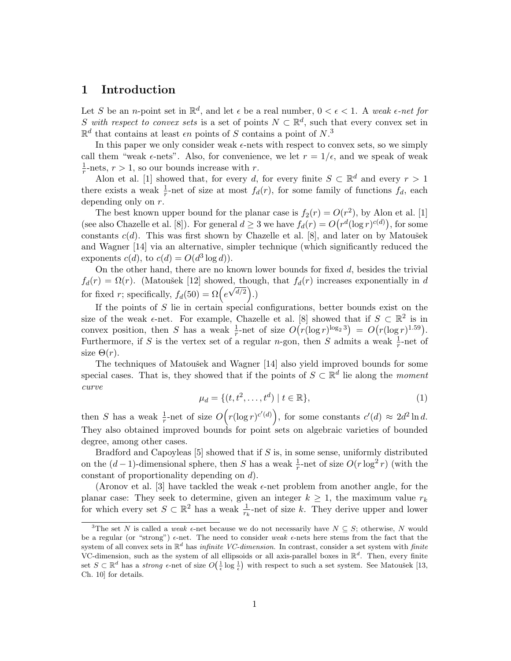## 1 Introduction

Let S be an *n*-point set in  $\mathbb{R}^d$ , and let  $\epsilon$  be a real number,  $0 < \epsilon < 1$ . A weak  $\epsilon$ -net for S with respect to convex sets is a set of points  $N \subset \mathbb{R}^d$ , such that every convex set in  $\mathbb{R}^d$  that contains at least  $\epsilon n$  points of S contains a point of N.<sup>3</sup>

In this paper we only consider weak  $\epsilon$ -nets with respect to convex sets, so we simply call them "weak  $\epsilon$ -nets". Also, for convenience, we let  $r = 1/\epsilon$ , and we speak of weak 1  $\frac{1}{r}$ -nets,  $r > 1$ , so our bounds increase with r.

Alon et al. [1] showed that, for every d, for every finite  $S \subset \mathbb{R}^d$  and every  $r > 1$ there exists a weak  $\frac{1}{r}$ -net of size at most  $f_d(r)$ , for some family of functions  $f_d$ , each depending only on r.

The best known upper bound for the planar case is  $f_2(r) = O(r^2)$ , by Alon et al. [1] (see also Chazelle et al. [8]). For general  $d \geq 3$  we have  $f_d(r) = O(r^d(\log r)^{c(d)})$ , for some constants  $c(d)$ . This was first shown by Chazelle et al. [8], and later on by Matoušek and Wagner [14] via an alternative, simpler technique (which significantly reduced the exponents  $c(d)$ , to  $c(d) = O(d^3 \log d)$ .

On the other hand, there are no known lower bounds for fixed  $d$ , besides the trivial  $f_d(r) = \Omega(r)$ . (Matoušek [12] showed, though, that  $f_d(r)$  increases exponentially in d for fixed r; specifically,  $f_d(50) = \Omega\left(e^{\sqrt{d/2}}\right)$ .)

If the points of  $S$  lie in certain special configurations, better bounds exist on the size of the weak  $\epsilon$ -net. For example, Chazelle et al. [8] showed that if  $S \subset \mathbb{R}^2$  is in convex position, then S has a weak  $\frac{1}{r}$ -net of size  $O(r(\log r)^{\log_2 3}) = O(r(\log r)^{1.59})$ . Furthermore, if S is the vertex set of a regular n-gon, then S admits a weak  $\frac{1}{r}$ -net of size  $\Theta(r)$ .

The techniques of Matoušek and Wagner  $[14]$  also yield improved bounds for some special cases. That is, they showed that if the points of  $S \subset \mathbb{R}^d$  lie along the moment curve

$$
\mu_d = \{ (t, t^2, \dots, t^d) \mid t \in \mathbb{R} \},\tag{1}
$$

then S has a weak  $\frac{1}{r}$ -net of size  $O(r(\log r)^{c'(d)})$ , for some constants  $c'(d) \approx 2d^2 \ln d$ . They also obtained improved bounds for point sets on algebraic varieties of bounded degree, among other cases.

Bradford and Capoyleas  $[5]$  showed that if  $S$  is, in some sense, uniformly distributed on the  $(d-1)$ -dimensional sphere, then S has a weak  $\frac{1}{r}$ -net of size  $O(r \log^2 r)$  (with the constant of proportionality depending on d).

(Aronov et al. [3] have tackled the weak  $\epsilon$ -net problem from another angle, for the planar case: They seek to determine, given an integer  $k \geq 1$ , the maximum value  $r_k$ for which every set  $S \subset \mathbb{R}^2$  has a weak  $\frac{1}{r_k}$ -net of size k. They derive upper and lower

<sup>&</sup>lt;sup>3</sup>The set N is called a *weak*  $\epsilon$ -net because we do not necessarily have  $N \subseteq S$ ; otherwise, N would be a regular (or "strong")  $\epsilon$ -net. The need to consider weak  $\epsilon$ -nets here stems from the fact that the system of all convex sets in  $\mathbb{R}^d$  has *infinite VC-dimension*. In contrast, consider a set system with *finite* VC-dimension, such as the system of all ellipsoids or all axis-parallel boxes in  $\mathbb{R}^d$ . Then, every finite set  $S \subset \mathbb{R}^d$  has a *strong*  $\epsilon$ -net of size  $O(\frac{1}{\epsilon} \log \frac{1}{\epsilon})$  with respect to such a set system. See Matoušek [13, Ch. 10] for details.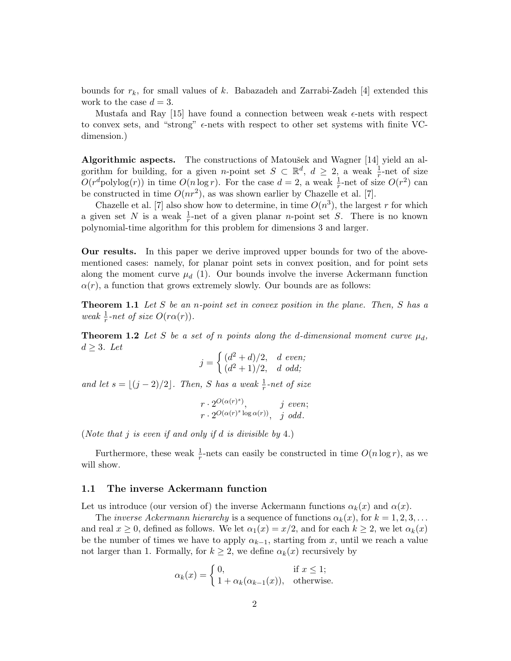bounds for  $r_k$ , for small values of k. Babazadeh and Zarrabi-Zadeh [4] extended this work to the case  $d = 3$ .

Mustafa and Ray [15] have found a connection between weak  $\epsilon$ -nets with respect to convex sets, and "strong"  $\epsilon$ -nets with respect to other set systems with finite VCdimension.)

Algorithmic aspects. The constructions of Matoušek and Wagner  $[14]$  yield an algorithm for building, for a given *n*-point set  $S \subset \mathbb{R}^d$ ,  $d \geq 2$ , a weak  $\frac{1}{r}$ -net of size  $O(r^d$ polylog $(r)$ ) in time  $O(n \log r)$ . For the case  $d = 2$ , a weak  $\frac{1}{r}$ -net of size  $O(r^2)$  can be constructed in time  $O(nr^2)$ , as was shown earlier by Chazelle et al. [7].

Chazelle et al. [7] also show how to determine, in time  $O(n^3)$ , the largest r for which a given set N is a weak  $\frac{1}{r}$ -net of a given planar *n*-point set S. There is no known polynomial-time algorithm for this problem for dimensions 3 and larger.

Our results. In this paper we derive improved upper bounds for two of the abovementioned cases: namely, for planar point sets in convex position, and for point sets along the moment curve  $\mu_d$  (1). Our bounds involve the inverse Ackermann function  $\alpha(r)$ , a function that grows extremely slowly. Our bounds are as follows:

**Theorem 1.1** Let  $S$  be an n-point set in convex position in the plane. Then,  $S$  has a weak  $\frac{1}{r}$ -net of size  $O(r\alpha(r))$ .

**Theorem 1.2** Let S be a set of n points along the d-dimensional moment curve  $\mu_d$ ,  $d \geq 3$ . Let

$$
j = \begin{cases} (d^2 + d)/2, & d \text{ even}; \\ (d^2 + 1)/2, & d \text{ odd}; \end{cases}
$$

and let  $s = \lfloor (j - 2)/2 \rfloor$ . Then, S has a weak  $\frac{1}{r}$ -net of size

$$
\begin{array}{ll} r \cdot 2^{O(\alpha(r)^s)}, & j \text{ even}; \\ r \cdot 2^{O(\alpha(r)^s \log \alpha(r))}, & j \text{ odd}. \end{array}
$$

(Note that j is even if and only if d is divisible by 4.)

Furthermore, these weak  $\frac{1}{r}$ -nets can easily be constructed in time  $O(n \log r)$ , as we will show.

#### 1.1 The inverse Ackermann function

Let us introduce (our version of) the inverse Ackermann functions  $\alpha_k(x)$  and  $\alpha(x)$ .

The *inverse Ackermann hierarchy* is a sequence of functions  $\alpha_k(x)$ , for  $k = 1, 2, 3, \ldots$ and real  $x \ge 0$ , defined as follows. We let  $\alpha_1(x) = x/2$ , and for each  $k \ge 2$ , we let  $\alpha_k(x)$ be the number of times we have to apply  $\alpha_{k-1}$ , starting from x, until we reach a value not larger than 1. Formally, for  $k \geq 2$ , we define  $\alpha_k(x)$  recursively by

$$
\alpha_k(x) = \begin{cases} 0, & \text{if } x \le 1; \\ 1 + \alpha_k(\alpha_{k-1}(x)), & \text{otherwise.} \end{cases}
$$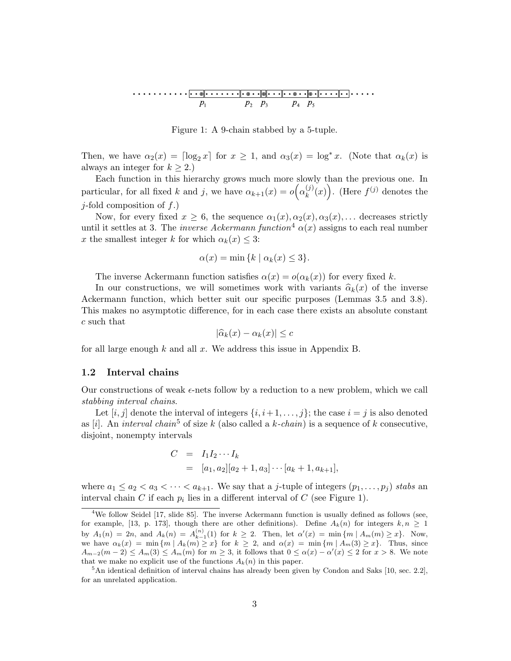

Figure 1: A 9-chain stabbed by a 5-tuple.

Then, we have  $\alpha_2(x) = \log_2 x$  for  $x \geq 1$ , and  $\alpha_3(x) = \log^* x$ . (Note that  $\alpha_k(x)$  is always an integer for  $k \geq 2$ .)

Each function in this hierarchy grows much more slowly than the previous one. In particular, for all fixed k and j, we have  $\alpha_{k+1}(x) = o(\alpha_k^{(j)})$  $\binom{(j)}{k}(x)$ . (Here  $f^{(j)}$  denotes the  $j$ -fold composition of  $f$ .)

Now, for every fixed  $x \geq 6$ , the sequence  $\alpha_1(x), \alpha_2(x), \alpha_3(x), \ldots$  decreases strictly until it settles at 3. The *inverse Ackermann function*<sup>4</sup>  $\alpha(x)$  assigns to each real number x the smallest integer k for which  $\alpha_k(x) \leq 3$ :

$$
\alpha(x) = \min\{k \mid \alpha_k(x) \le 3\}.
$$

The inverse Ackermann function satisfies  $\alpha(x) = o(\alpha_k(x))$  for every fixed k.

In our constructions, we will sometimes work with variants  $\hat{\alpha}_k(x)$  of the inverse Ackermann function, which better suit our specific purposes (Lemmas 3.5 and 3.8). This makes no asymptotic difference, for in each case there exists an absolute constant c such that

$$
|\widehat{\alpha}_k(x) - \alpha_k(x)| \leq c
$$

for all large enough  $k$  and all  $x$ . We address this issue in Appendix B.

#### 1.2 Interval chains

Our constructions of weak  $\epsilon$ -nets follow by a reduction to a new problem, which we call stabbing interval chains.

Let  $[i, j]$  denote the interval of integers  $\{i, i+1, \ldots, j\}$ ; the case  $i = j$  is also denoted as [i]. An interval chain<sup>5</sup> of size k (also called a k-chain) is a sequence of k consecutive, disjoint, nonempty intervals

$$
C = I_1 I_2 \cdots I_k
$$
  
=  $[a_1, a_2][a_2 + 1, a_3] \cdots [a_k + 1, a_{k+1}],$ 

where  $a_1 \le a_2 < a_3 < \cdots < a_{k+1}$ . We say that a *j*-tuple of integers  $(p_1, \ldots, p_j)$  stabs an interval chain C if each  $p_i$  lies in a different interval of C (see Figure 1).

<sup>&</sup>lt;sup>4</sup>We follow Seidel [17, slide 85]. The inverse Ackermann function is usually defined as follows (see, for example, [13, p. 173], though there are other definitions). Define  $A_k(n)$  for integers  $k, n \ge 1$ by  $A_1(n) = 2n$ , and  $A_k(n) = A_{k-1}^{(n)}(1)$  for  $k \ge 2$ . Then, let  $\alpha'(x) = \min\{m \mid A_m(m) \ge x\}$ . Now, we have  $\alpha_k(x) = \min \{m \mid A_k(m) \geq x\}$  for  $k \geq 2$ , and  $\alpha(x) = \min \{m \mid A_m(3) \geq x\}$ . Thus, since  $A_{m-2}(m-2) \leq A_m(3) \leq A_m(m)$  for  $m \geq 3$ , it follows that  $0 \leq \alpha(x) - \alpha'(x) \leq 2$  for  $x > 8$ . We note that we make no explicit use of the functions  $A_k(n)$  in this paper.

<sup>&</sup>lt;sup>5</sup>An identical definition of interval chains has already been given by Condon and Saks [10, sec. 2.2], for an unrelated application.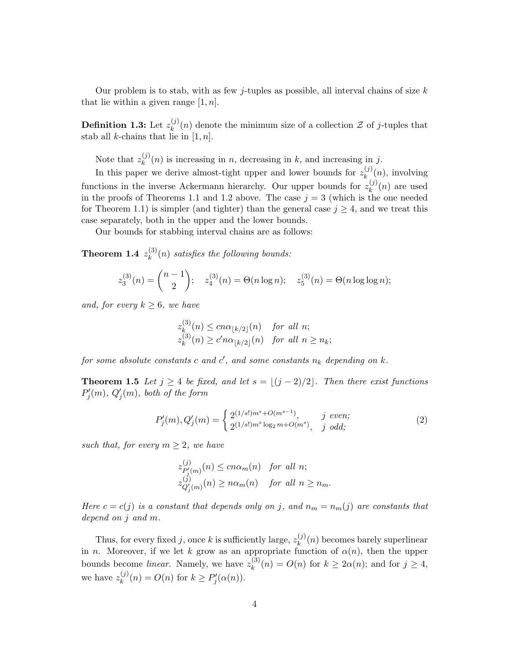Our problem is to stab, with as few j-tuples as possible, all interval chains of size  $k$ that lie within a given range  $[1, n]$ .

Definition 1.3: Let  $z_k^{(j)}$  $\binom{1}{k}(n)$  denote the minimum size of a collection  $\mathcal{Z}$  of j-tuples that stab all *k*-chains that lie in  $[1, n]$ .

Note that  $z_k^{(j)}$  $k_k^{(j)}(n)$  is increasing in n, decreasing in k, and increasing in j.

In this paper we derive almost-tight upper and lower bounds for  $z_k^{(j)}$  $\binom{J}{k}(n)$ , involving functions in the inverse Ackermann hierarchy. Our upper bounds for  $z_k^{(j)}$  $\binom{U}{k}(n)$  are used in the proofs of Theorems 1.1 and 1.2 above. The case  $j = 3$  (which is the one needed for Theorem 1.1) is simpler (and tighter) than the general case  $j \geq 4$ , and we treat this case separately, both in the upper and the lower bounds.

Our bounds for stabbing interval chains are as follows:

Theorem 1.4  $z_k^{(3)}$  $\binom{S}{k}(n)$  satisfies the following bounds:

$$
z_3^{(3)}(n) = \binom{n-1}{2}; \quad z_4^{(3)}(n) = \Theta(n \log n); \quad z_5^{(3)}(n) = \Theta(n \log \log n);
$$

and, for every  $k \geq 6$ , we have

$$
z_k^{(3)}(n) \le cn\alpha_{\lfloor k/2 \rfloor}(n) \quad \text{for all } n;
$$
  

$$
z_k^{(3)}(n) \ge c'n\alpha_{\lfloor k/2 \rfloor}(n) \quad \text{for all } n \ge n_k;
$$

for some absolute constants c and  $c'$ , and some constants  $n_k$  depending on  $k$ .

**Theorem 1.5** Let  $j \geq 4$  be fixed, and let  $s = \lfloor (j - 2)/2 \rfloor$ . Then there exist functions  $P'_{j}(m)$ ,  $Q'_{j}(m)$ , both of the form

$$
P'_{j}(m), Q'_{j}(m) = \begin{cases} 2^{(1/s!)m^{s} + O(m^{s-1})}, & j \text{ even}; \\ 2^{(1/s!)m^{s} \log_{2} m + O(m^{s})}, & j \text{ odd}; \end{cases}
$$
 (2)

such that, for every  $m \geq 2$ , we have

$$
\begin{aligned} z_{P'_{j}(m)}^{(j)}(n) &\leq c n \alpha_m(n) \quad \text{for all } n; \\ z_{Q'_{j}(m)}^{(j)}(n) &\geq n \alpha_m(n) \quad \text{for all } n \geq n_m. \end{aligned}
$$

Here  $c = c(j)$  is a constant that depends only on j, and  $n_m = n_m(j)$  are constants that depend on j and m.

Thus, for every fixed j, once k is sufficiently large,  $z_k^{(j)}$  $\binom{N}{k}(n)$  becomes barely superlinear in n. Moreover, if we let k grow as an appropriate function of  $\alpha(n)$ , then the upper bounds become *linear*. Namely, we have  $z_k^{(3)}$  $\kappa^{(3)}(n) = O(n)$  for  $k \geq 2\alpha(n)$ ; and for  $j \geq 4$ , we have  $z_k^{(j)}$  $k^{(j)}(n) = O(n)$  for  $k \ge P'_j(\alpha(n)).$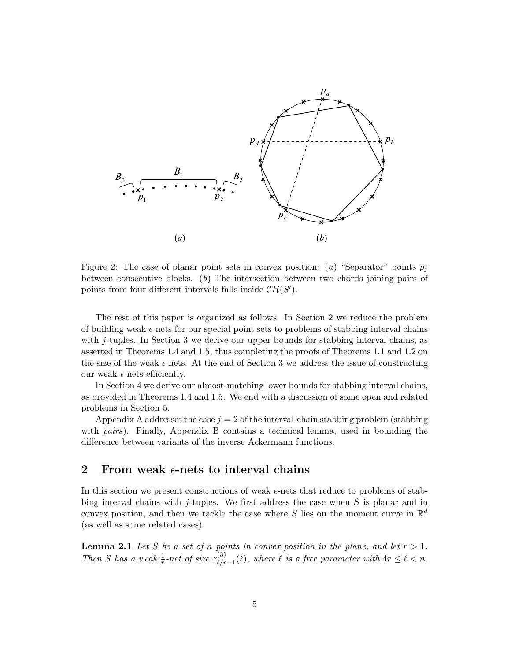

Figure 2: The case of planar point sets in convex position: (a) "Separator" points  $p_i$ between consecutive blocks.  $(b)$  The intersection between two chords joining pairs of points from four different intervals falls inside  $\mathcal{CH}(S')$ .

The rest of this paper is organized as follows. In Section 2 we reduce the problem of building weak  $\epsilon$ -nets for our special point sets to problems of stabbing interval chains with j-tuples. In Section 3 we derive our upper bounds for stabbing interval chains, as asserted in Theorems 1.4 and 1.5, thus completing the proofs of Theorems 1.1 and 1.2 on the size of the weak  $\epsilon$ -nets. At the end of Section 3 we address the issue of constructing our weak  $\epsilon$ -nets efficiently.

In Section 4 we derive our almost-matching lower bounds for stabbing interval chains, as provided in Theorems 1.4 and 1.5. We end with a discussion of some open and related problems in Section 5.

Appendix A addresses the case  $j = 2$  of the interval-chain stabbing problem (stabbing with pairs). Finally, Appendix B contains a technical lemma, used in bounding the difference between variants of the inverse Ackermann functions.

## 2 From weak  $\epsilon$ -nets to interval chains

In this section we present constructions of weak  $\epsilon$ -nets that reduce to problems of stabbing interval chains with j-tuples. We first address the case when  $S$  is planar and in convex position, and then we tackle the case where S lies on the moment curve in  $\mathbb{R}^d$ (as well as some related cases).

**Lemma 2.1** Let S be a set of n points in convex position in the plane, and let  $r > 1$ . Then S has a weak  $\frac{1}{r}$ -net of size  $z_{\ell/r}^{(3)}$  $\ell_{\ell,r-1}^{(3)}(\ell)$ , where  $\ell$  is a free parameter with  $4r \leq \ell < n$ .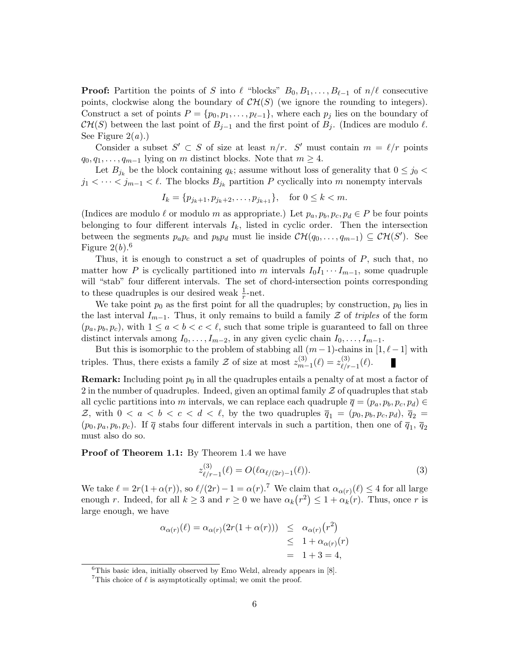**Proof:** Partition the points of S into  $\ell$  "blocks"  $B_0, B_1, \ldots, B_{\ell-1}$  of  $n/\ell$  consecutive points, clockwise along the boundary of  $\mathcal{CH}(S)$  (we ignore the rounding to integers). Construct a set of points  $P = \{p_0, p_1, \ldots, p_{\ell-1}\}\$ , where each  $p_j$  lies on the boundary of  $\mathcal{CH}(S)$  between the last point of  $B_{j-1}$  and the first point of  $B_j$ . (Indices are modulo  $\ell$ . See Figure  $2(a)$ .)

Consider a subset  $S' \subset S$  of size at least  $n/r$ . S' must contain  $m = \ell/r$  points  $q_0, q_1, \ldots, q_{m-1}$  lying on m distinct blocks. Note that  $m \geq 4$ .

Let  $B_{j_k}$  be the block containing  $q_k$ ; assume without loss of generality that  $0 \leq j_0$  $j_1 < \cdots < j_{m-1} < \ell$ . The blocks  $B_{j_k}$  partition P cyclically into m nonempty intervals

$$
I_k = \{p_{j_k+1}, p_{j_k+2}, \dots, p_{j_{k+1}}\},
$$
 for  $0 \le k < m$ .

(Indices are modulo  $\ell$  or modulo m as appropriate.) Let  $p_a, p_b, p_c, p_d \in P$  be four points belonging to four different intervals  $I_k$ , listed in cyclic order. Then the intersection between the segments  $p_a p_c$  and  $p_b p_d$  must lie inside  $\mathcal{CH}(q_0, \ldots, q_{m-1}) \subseteq \mathcal{CH}(S')$ . See Figure  $2(b)$ .<sup>6</sup>

Thus, it is enough to construct a set of quadruples of points of  $P$ , such that, no matter how P is cyclically partitioned into m intervals  $I_0I_1\cdots I_{m-1}$ , some quadruple will "stab" four different intervals. The set of chord-intersection points corresponding to these quadruples is our desired weak  $\frac{1}{r}$ -net.

We take point  $p_0$  as the first point for all the quadruples; by construction,  $p_0$  lies in the last interval  $I_{m-1}$ . Thus, it only remains to build a family  $\mathcal Z$  of triples of the form  $(p_a, p_b, p_c)$ , with  $1 \le a < b < c < \ell$ , such that some triple is guaranteed to fall on three distinct intervals among  $I_0, \ldots, I_{m-2}$ , in any given cyclic chain  $I_0, \ldots, I_{m-1}$ .

But this is isomorphic to the problem of stabbing all  $(m-1)$ -chains in  $[1, \ell-1]$  with triples. Thus, there exists a family  $\mathcal Z$  of size at most  $z_{m-}^{(3)}$  $z_{m-1}^{(3)}(\ell)=z_{\ell/r}^{(3)}$  $\frac{(\delta)}{\ell/r-1}(\ell).$ 

**Remark:** Including point  $p_0$  in all the quadruples entails a penalty of at most a factor of 2 in the number of quadruples. Indeed, given an optimal family  $\mathcal Z$  of quadruples that stab all cyclic partitions into m intervals, we can replace each quadruple  $\overline{q} = (p_a, p_b, p_c, p_d) \in$ Z, with  $0 < a < b < c < d < \ell$ , by the two quadruples  $\overline{q}_1 = (p_0, p_b, p_c, p_d), \overline{q}_2 =$  $(p_0, p_a, p_b, p_c)$ . If  $\overline{q}$  stabs four different intervals in such a partition, then one of  $\overline{q}_1$ ,  $\overline{q}_2$ must also do so.

#### Proof of Theorem 1.1: By Theorem 1.4 we have

$$
z_{\ell/r-1}^{(3)}(\ell) = O(\ell \alpha_{\ell/(2r)-1}(\ell)). \tag{3}
$$

We take  $\ell = 2r(1 + \alpha(r))$ , so  $\ell/(2r) - 1 = \alpha(r)$ .<sup>7</sup> We claim that  $\alpha_{\alpha(r)}(\ell) \leq 4$  for all large enough r. Indeed, for all  $k \geq 3$  and  $r \geq 0$  we have  $\alpha_k(r^2) \leq 1 + \alpha_k(r)$ . Thus, once r is large enough, we have

$$
\alpha_{\alpha(r)}(\ell) = \alpha_{\alpha(r)}(2r(1+\alpha(r))) \leq \alpha_{\alpha(r)}(r^2)
$$
  
\n
$$
\leq 1 + \alpha_{\alpha(r)}(r)
$$
  
\n
$$
= 1 + 3 = 4,
$$

 ${}^{6}$ This basic idea, initially observed by Emo Welzl, already appears in [8].

<sup>&</sup>lt;sup>7</sup>This choice of  $\ell$  is asymptotically optimal; we omit the proof.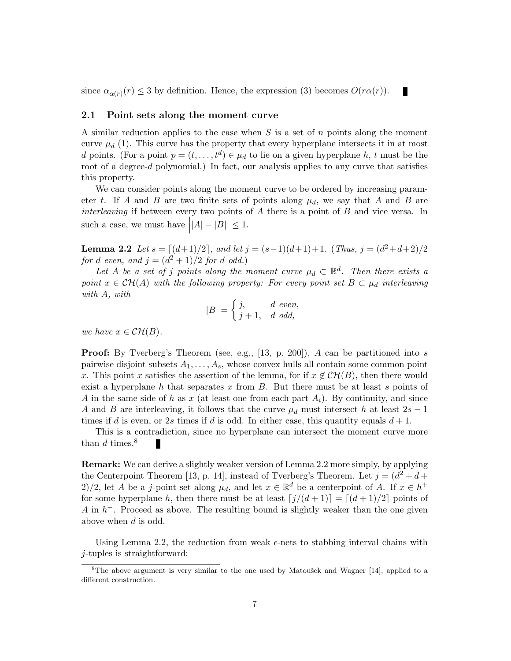since  $\alpha_{\alpha(r)}(r) \leq 3$  by definition. Hence, the expression (3) becomes  $O(r\alpha(r))$ .

#### 2.1 Point sets along the moment curve

A similar reduction applies to the case when  $S$  is a set of  $n$  points along the moment curve  $\mu_d$  (1). This curve has the property that every hyperplane intersects it in at most d points. (For a point  $p = (t, \ldots, t^d) \in \mu_d$  to lie on a given hyperplane h, t must be the root of a degree-d polynomial.) In fact, our analysis applies to any curve that satisfies this property.

П

We can consider points along the moment curve to be ordered by increasing parameter t. If A and B are two finite sets of points along  $\mu_d$ , we say that A and B are interleaving if between every two points of  $A$  there is a point of  $B$  and vice versa. In such a case, we must have  $||A| - |B|| \leq 1$ .

**Lemma 2.2** Let  $s = \lfloor (d+1)/2 \rfloor$ , and let  $j = (s-1)(d+1)+1$ . (Thus,  $j = (d^2+d+2)/2$ for d even, and  $j = (d^2 + 1)/2$  for d odd.)

Let A be a set of j points along the moment curve  $\mu_d \subset \mathbb{R}^d$ . Then there exists a point  $x \in \mathcal{CH}(A)$  with the following property: For every point set  $B \subset \mu_d$  interleaving with A, with

$$
|B| = \begin{cases} j, & d \text{ even,} \\ j+1, & d \text{ odd,} \end{cases}
$$

we have  $x \in \mathcal{CH}(B)$ .

**Proof:** By Tverberg's Theorem (see, e.g., [13, p. 200]),  $A$  can be partitioned into  $s$ pairwise disjoint subsets  $A_1, \ldots, A_s$ , whose convex hulls all contain some common point x. This point x satisfies the assertion of the lemma, for if  $x \notin \mathcal{CH}(B)$ , then there would exist a hyperplane h that separates x from  $B$ . But there must be at least s points of A in the same side of h as x (at least one from each part  $A_i$ ). By continuity, and since A and B are interleaving, it follows that the curve  $\mu_d$  must intersect h at least  $2s - 1$ times if d is even, or 2s times if d is odd. In either case, this quantity equals  $d+1$ .

This is a contradiction, since no hyperplane can intersect the moment curve more than  $d$  times.<sup>8</sup>

Remark: We can derive a slightly weaker version of Lemma 2.2 more simply, by applying the Centerpoint Theorem [13, p. 14], instead of Tverberg's Theorem. Let  $j = (d^2 + d +$ 2)/2, let A be a j-point set along  $\mu_d$ , and let  $x \in \mathbb{R}^d$  be a centerpoint of A. If  $x \in h^+$ for some hyperplane h, then there must be at least  $\left[\frac{j}{d + 1}\right] = \left[\frac{d + 1}{2}\right]$  points of  $A$  in  $h<sup>+</sup>$ . Proceed as above. The resulting bound is slightly weaker than the one given above when d is odd.

Using Lemma 2.2, the reduction from weak  $\epsilon$ -nets to stabbing interval chains with j-tuples is straightforward:

 ${}^{8}$ The above argument is very similar to the one used by Matoušek and Wagner [14], applied to a different construction.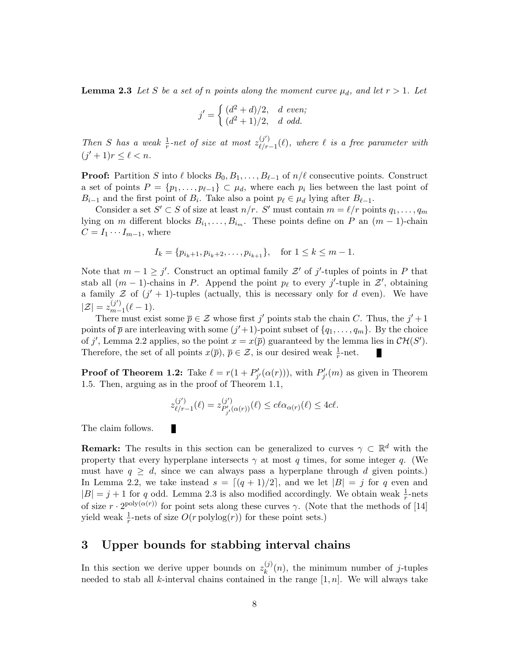**Lemma 2.3** Let S be a set of n points along the moment curve  $\mu_d$ , and let  $r > 1$ . Let

$$
j' = \begin{cases} (d^2 + d)/2, & d \text{ even}; \\ (d^2 + 1)/2, & d \text{ odd}. \end{cases}
$$

Then S has a weak  $\frac{1}{r}$ -net of size at most  $z_{\ell/r}^{(j')}$ .  $\overset{(J)}{\ell/r-1}(\ell)$ , where  $\ell$  is a free parameter with  $(j'+1)r \leq \ell < n$ .

**Proof:** Partition S into  $\ell$  blocks  $B_0, B_1, \ldots, B_{\ell-1}$  of  $n/\ell$  consecutive points. Construct a set of points  $P = \{p_1, \ldots, p_{\ell-1}\} \subset \mu_d$ , where each  $p_i$  lies between the last point of  $B_{i-1}$  and the first point of  $B_i$ . Take also a point  $p_\ell \in \mu_d$  lying after  $B_{\ell-1}$ .

Consider a set  $S' \subset S$  of size at least  $n/r$ . S' must contain  $m = \ell/r$  points  $q_1, \ldots, q_m$ lying on m different blocks  $B_{i_1}, \ldots, B_{i_m}$ . These points define on P an  $(m-1)$ -chain  $C = I_1 \cdots I_{m-1}$ , where

$$
I_k = \{p_{i_k+1}, p_{i_k+2}, \dots, p_{i_{k+1}}\}, \quad \text{for } 1 \le k \le m-1.
$$

Note that  $m-1 \geq j'$ . Construct an optimal family  $\mathcal{Z}'$  of j'-tuples of points in P that stab all  $(m-1)$ -chains in P. Append the point  $p_\ell$  to every j'-tuple in  $\mathcal{Z}'$ , obtaining a family  $\mathcal Z$  of  $(j' + 1)$ -tuples (actually, this is necessary only for d even). We have  $|\mathcal{Z}| = z_{m-}^{(j')}$  $_{m-1}^{(J')}(\ell-1).$ 

There must exist some  $\bar{p} \in \mathcal{Z}$  whose first j' points stab the chain C. Thus, the  $j' + 1$ points of  $\bar{p}$  are interleaving with some  $(j'+1)$ -point subset of  $\{q_1, \ldots, q_m\}$ . By the choice of j', Lemma 2.2 applies, so the point  $x = x(\overline{p})$  guaranteed by the lemma lies in  $\mathcal{CH}(S')$ . Therefore, the set of all points  $x(\overline{p}), \overline{p} \in \mathcal{Z}$ , is our desired weak  $\frac{1}{r}$ -net.

**Proof of Theorem 1.2:** Take  $\ell = r(1 + P'_{j'}(\alpha(r)))$ , with  $P'_{j'}(m)$  as given in Theorem 1.5. Then, arguing as in the proof of Theorem 1.1,

$$
z_{\ell/r-1}^{(j')}(\ell) = z_{P'_{j'}(\alpha(r))}^{(j')}(\ell) \leq c\ell \alpha_{\alpha(r)}(\ell) \leq 4c\ell.
$$

The claim follows.

П

**Remark:** The results in this section can be generalized to curves  $\gamma \subset \mathbb{R}^d$  with the property that every hyperplane intersects  $\gamma$  at most q times, for some integer q. (We must have  $q \geq d$ , since we can always pass a hyperplane through d given points.) In Lemma 2.2, we take instead  $s = \lfloor (q + 1)/2 \rfloor$ , and we let  $|B| = j$  for q even and  $|B| = j + 1$  for q odd. Lemma 2.3 is also modified accordingly. We obtain weak  $\frac{1}{r}$ -nets of size  $r \cdot 2^{\text{poly}(\alpha(r))}$  for point sets along these curves  $\gamma$ . (Note that the methods of [14] yield weak  $\frac{1}{r}$ -nets of size  $O(r \text{ polylog}(r))$  for these point sets.)

## 3 Upper bounds for stabbing interval chains

In this section we derive upper bounds on  $z_k^{(j)}$  $_{k}^{(j)}(n)$ , the minimum number of j-tuples needed to stab all k-interval chains contained in the range  $[1, n]$ . We will always take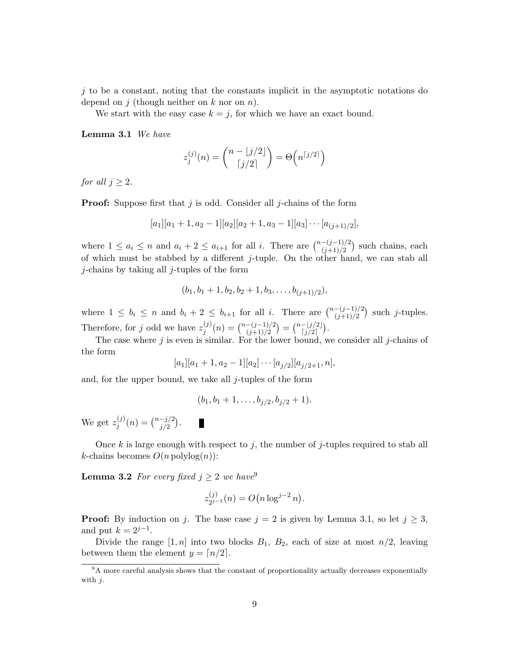$j$  to be a constant, noting that the constants implicit in the asymptotic notations do depend on j (though neither on k nor on n).

We start with the easy case  $k = j$ , for which we have an exact bound.

Lemma 3.1 We have

$$
z_j^{(j)}(n) = \binom{n - \lfloor j/2 \rfloor}{\lceil j/2 \rceil} = \Theta\left(n^{\lceil j/2 \rceil}\right)
$$

for all  $j \geq 2$ .

**Proof:** Suppose first that  $j$  is odd. Consider all  $j$ -chains of the form

$$
[a_1][a_1+1, a_2-1][a_2][a_2+1, a_3-1][a_3]\cdots [a_{(j+1)/2}],
$$

where  $1 \leq a_i \leq n$  and  $a_i + 2 \leq a_{i+1}$  for all i. There are  $\binom{n-(j-1)/2}{(j+1)/2}$  such chains, each of which must be stabbed by a different j-tuple. On the other hand, we can stab all j-chains by taking all j-tuples of the form

$$
(b_1, b_1 + 1, b_2, b_2 + 1, b_3, \ldots, b_{(j+1)/2}),
$$

where  $1 \leq b_i \leq n$  and  $b_i + 2 \leq b_{i+1}$  for all i. There are  $\binom{n-(j-1)/2}{(j+1)/2}$  such j-tuples. Therefore, for j odd we have  $z_i^{(j)}$  $j^{(j)}(n) = \binom{n-(j-1)/2}{(j+1)/2} = \binom{n-[j/2]}{[j/2]}$ .

The case where  $j$  is even is similar. For the lower bound, we consider all  $j$ -chains of the form

$$
[a_1][a_1+1, a_2-1][a_2]\cdots [a_{j/2}][a_{j/2+1}, n],
$$

and, for the upper bound, we take all  $j$ -tuples of the form

$$
(b_1, b_1 + 1, \ldots, b_{j/2}, b_{j/2} + 1).
$$

We get  $z_i^{(j)}$  $j^{(j)}(n) = \binom{n-j/2}{j/2}.$ П

Once k is large enough with respect to j, the number of j-tuples required to stab all k-chains becomes  $O(n \text{ polylog}(n))$ :

**Lemma 3.2** For every fixed  $j \geq 2$  we have<sup>9</sup>

$$
z_{2^{j-1}}^{(j)}(n) = O(n \log^{j-2} n).
$$

**Proof:** By induction on j. The base case  $j = 2$  is given by Lemma 3.1, so let  $j \geq 3$ , and put  $k = 2^{j-1}$ .

Divide the range  $[1, n]$  into two blocks  $B_1$ ,  $B_2$ , each of size at most  $n/2$ , leaving between them the element  $y = \lfloor n/2 \rfloor$ .

<sup>&</sup>lt;sup>9</sup>A more careful analysis shows that the constant of proportionality actually decreases exponentially with  $i$ .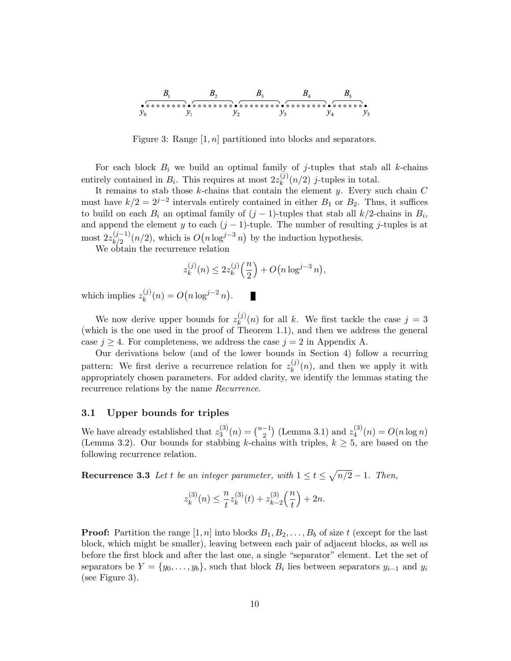

Figure 3: Range  $[1, n]$  partitioned into blocks and separators.

For each block  $B_i$  we build an optimal family of j-tuples that stab all k-chains entirely contained in  $B_i$ . This requires at most  $2z_k^{(j)}$  $\binom{U}{k}(n/2)$  *j*-tuples in total.

It remains to stab those  $k$ -chains that contain the element  $y$ . Every such chain  $C$ must have  $k/2 = 2^{j-2}$  intervals entirely contained in either  $B_1$  or  $B_2$ . Thus, it suffices to build on each  $B_i$  an optimal family of  $(j-1)$ -tuples that stab all k/2-chains in  $B_i$ , and append the element y to each  $(j - 1)$ -tuple. The number of resulting j-tuples is at most  $2z_{k/2}^{(j-1)}$  $\frac{(j-1)}{k/2}(n/2)$ , which is  $O(n \log^{j-3} n)$  by the induction hypothesis.

We obtain the recurrence relation

$$
z_k^{(j)}(n) \le 2z_k^{(j)}\left(\frac{n}{2}\right) + O\big(n \log^{j-3} n\big),\,
$$

П

which implies  $z_k^{(j)}$  $k^{(j)}(n) = O(n \log^{j-2} n).$ 

We now derive upper bounds for  $z_k^{(j)}$  $\binom{y}{k}(n)$  for all k. We first tackle the case  $j = 3$ (which is the one used in the proof of Theorem 1.1), and then we address the general case  $j \geq 4$ . For completeness, we address the case  $j = 2$  in Appendix A.

Our derivations below (and of the lower bounds in Section 4) follow a recurring pattern: We first derive a recurrence relation for  $z_k^{(j)}$  $\binom{N}{k}(n)$ , and then we apply it with appropriately chosen parameters. For added clarity, we identify the lemmas stating the recurrence relations by the name Recurrence.

#### 3.1 Upper bounds for triples

We have already established that  $z_3^{(3)}$  $\binom{3}{3}(n) = \binom{n-1}{2}$  $\binom{-1}{2}$  (Lemma 3.1) and  $z_4^{(3)}$  $\binom{3}{4}(n) = O(n \log n)$ (Lemma 3.2). Our bounds for stabbing k-chains with triples,  $k \geq 5$ , are based on the following recurrence relation.

**Recurrence 3.3** Let t be an integer parameter, with  $1 \le t \le \sqrt{n/2} - 1$ . Then,

$$
z_k^{(3)}(n) \le \frac{n}{t} z_k^{(3)}(t) + z_{k-2}^{(3)}\left(\frac{n}{t}\right) + 2n.
$$

**Proof:** Partition the range  $[1, n]$  into blocks  $B_1, B_2, \ldots, B_b$  of size t (except for the last block, which might be smaller), leaving between each pair of adjacent blocks, as well as before the first block and after the last one, a single "separator" element. Let the set of separators be  $Y = \{y_0, \ldots, y_b\}$ , such that block  $B_i$  lies between separators  $y_{i-1}$  and  $y_i$ (see Figure 3).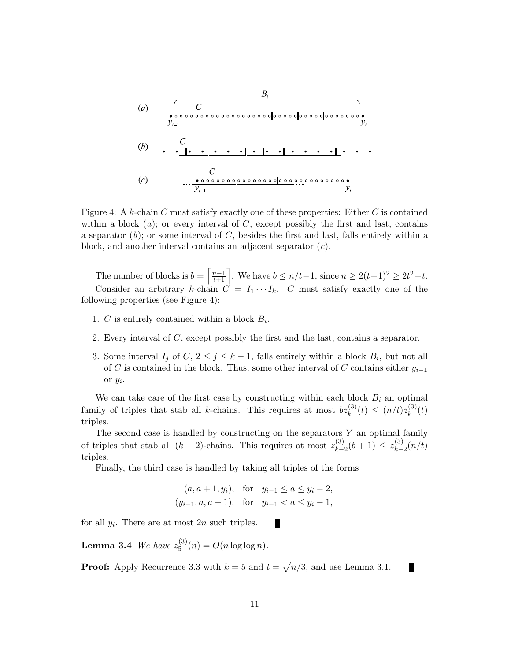$$
(a) \qquad \qquad \frac{C}{y_{i-1}} \qquad \qquad \frac{C}{y_{i-1}} \qquad \qquad \frac{C}{y_i}
$$
\n
$$
(b) \qquad \qquad \frac{C}{\sqrt{C}} \qquad \qquad \frac{C}{\sqrt{C}} \qquad \qquad \frac{C}{y_i} \qquad \qquad \frac{C}{y_{i-1}} \qquad \qquad \frac{C}{y_{i-1}} \qquad \qquad \frac{C}{y_{i-1}} \qquad \qquad \frac{C}{y_{i-1}} \qquad \qquad \frac{C}{y_{i-1}} \qquad \qquad \frac{C}{y_{i-1}} \qquad \qquad \frac{C}{y_{i-1}} \qquad \qquad \frac{C}{y_{i-1}} \qquad \qquad \frac{C}{y_{i-1}} \qquad \qquad \frac{C}{y_{i-1}} \qquad \qquad \frac{C}{y_{i-1}} \qquad \qquad \frac{C}{y_{i-1}} \qquad \qquad \frac{C}{y_{i-1}} \qquad \qquad \frac{C}{y_{i-1}} \qquad \qquad \frac{C}{y_{i-1}} \qquad \qquad \frac{C}{y_{i-1}} \qquad \qquad \frac{C}{y_{i-1}} \qquad \qquad \frac{C}{y_{i-1}} \qquad \qquad \frac{C}{y_{i-1}} \qquad \qquad \frac{C}{y_{i-1}} \qquad \qquad \frac{C}{y_{i-1}} \qquad \qquad \frac{C}{y_{i-1}} \qquad \qquad \frac{C}{y_{i-1}} \qquad \qquad \frac{C}{y_{i-1}} \qquad \qquad \frac{C}{y_{i-1}} \qquad \qquad \frac{C}{y_{i-1}} \qquad \qquad \frac{C}{y_{i-1}} \qquad \qquad \frac{C}{y_{i-1}} \qquad \qquad \frac{C}{y_{i-1}} \qquad \qquad \frac{C}{y_{i-1}} \qquad \qquad \frac{C}{y_{i-1}} \qquad \qquad \frac{C}{y_{i-1}} \qquad \qquad \frac{C}{y_{i-1}} \qquad \qquad \frac{C}{y_{i-1}} \qquad \qquad \frac{C}{y_{i-1}} \qquad \qquad \frac{C}{y_{i-1}} \qquad \qquad \frac{C}{y_{i-1}} \qquad \qquad \frac{C}{y_{i-1}} \qquad \qquad
$$

Figure 4: A k-chain C must satisfy exactly one of these properties: Either C is contained within a block  $(a)$ ; or every interval of C, except possibly the first and last, contains a separator  $(b)$ ; or some interval of C, besides the first and last, falls entirely within a block, and another interval contains an adjacent separator  $(c)$ .

The number of blocks is  $b = \left\lceil \frac{n-1}{t+1} \right\rceil$ . We have  $b \leq n/t-1$ , since  $n \geq 2(t+1)^2 \geq 2t^2+t$ . Consider an arbitrary k-chain  $C = I_1 \cdots I_k$ . C must satisfy exactly one of the following properties (see Figure 4):

- 1. C is entirely contained within a block  $B_i$ .
- 2. Every interval of C, except possibly the first and the last, contains a separator.
- 3. Some interval  $I_j$  of  $C, 2 \leq j \leq k-1$ , falls entirely within a block  $B_i$ , but not all of C is contained in the block. Thus, some other interval of C contains either  $y_{i-1}$ or y<sup>i</sup> .

We can take care of the first case by constructing within each block  $B_i$  an optimal family of triples that stab all k-chains. This requires at most  $bz_k^{(3)}(t) \leq (n/t)z_k^{(3)}$  $\binom{(\mathsf{a})}{k}(t)$ triples.

The second case is handled by constructing on the separators  $Y$  an optimal family of triples that stab all  $(k-2)$ -chains. This requires at most  $z_{k-}^{(3)}$  $\binom{(3)}{k-2}(b+1) \leq z_{k-1}^{(3)}$  $\binom{5}{k-2}(n/t)$ triples.

Finally, the third case is handled by taking all triples of the forms

$$
(a, a + 1, y_i)
$$
, for  $y_{i-1} \le a \le y_i - 2$ ,  
\n $(y_{i-1}, a, a + 1)$ , for  $y_{i-1} < a \le y_i - 1$ ,

ш

for all  $y_i$ . There are at most  $2n$  such triples.

**Lemma 3.4** We have  $z_5^{(3)}$  $S_5^{(3)}(n) = O(n \log \log n).$ 

**Proof:** Apply Recurrence 3.3 with  $k = 5$  and  $t = \sqrt{n/3}$ , and use Lemma 3.1.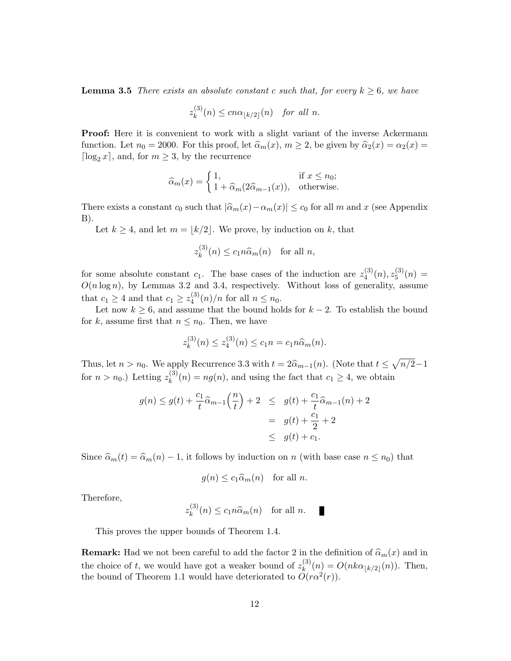**Lemma 3.5** There exists an absolute constant c such that, for every  $k \geq 6$ , we have

$$
z_k^{(3)}(n) \le c n \alpha_{\lfloor k/2 \rfloor}(n) \quad \text{for all } n.
$$

**Proof:** Here it is convenient to work with a slight variant of the inverse Ackermann function. Let  $n_0 = 2000$ . For this proof, let  $\widehat{\alpha}_m(x)$ ,  $m \geq 2$ , be given by  $\widehat{\alpha}_2(x) = \alpha_2(x) = 2000$ .  $\lceil \log_2 x \rceil$ , and, for  $m \geq 3$ , by the recurrence

$$
\widehat{\alpha}_m(x) = \begin{cases} 1, & \text{if } x \le n_0; \\ 1 + \widehat{\alpha}_m(2\widehat{\alpha}_{m-1}(x)), & \text{otherwise.} \end{cases}
$$

There exists a constant  $c_0$  such that  $|\widehat{\alpha}_m(x)-\alpha_m(x)| \leq c_0$  for all m and x (see Appendix B).

Let  $k \geq 4$ , and let  $m = \lfloor k/2 \rfloor$ . We prove, by induction on k, that

$$
z_k^{(3)}(n) \le c_1 n \widehat{\alpha}_m(n) \quad \text{for all } n,
$$

for some absolute constant  $c_1$ . The base cases of the induction are  $z_4^{(3)}$  $\binom{(3)}{4}(n), z_5^{(3)}$  $5^{(5)}(n) =$  $O(n \log n)$ , by Lemmas 3.2 and 3.4, respectively. Without loss of generality, assume that  $c_1 \geq 4$  and that  $c_1 \geq z_4^{(3)}$  $\binom{3}{4}(n)/n$  for all  $n \leq n_0$ .

Let now  $k \geq 6$ , and assume that the bound holds for  $k - 2$ . To establish the bound for k, assume first that  $n \leq n_0$ . Then, we have

$$
z_k^{(3)}(n) \le z_4^{(3)}(n) \le c_1 n = c_1 n \widehat{\alpha}_m(n).
$$

Thus, let  $n > n_0$ . We apply Recurrence 3.3 with  $t = 2\hat{\alpha}_{m-1}(n)$ . (Note that  $t \le \sqrt{n/2}-1$ for  $n > n_0$ .) Letting  $z_k^{(3)}$  $k_k^{(3)}(n) = n g(n)$ , and using the fact that  $c_1 \geq 4$ , we obtain

$$
g(n) \le g(t) + \frac{c_1}{t} \hat{\alpha}_{m-1} \left(\frac{n}{t}\right) + 2 \le g(t) + \frac{c_1}{t} \hat{\alpha}_{m-1}(n) + 2
$$
  
=  $g(t) + \frac{c_1}{2} + 2$   
 $\le g(t) + c_1.$ 

Since  $\hat{\alpha}_m(t) = \hat{\alpha}_m(n) - 1$ , it follows by induction on n (with base case  $n \leq n_0$ ) that

$$
g(n) \leq c_1 \widehat{\alpha}_m(n)
$$
 for all *n*.

Therefore,

$$
z_k^{(3)}(n) \le c_1 n \widehat{\alpha}_m(n) \quad \text{for all } n.
$$

This proves the upper bounds of Theorem 1.4.

**Remark:** Had we not been careful to add the factor 2 in the definition of  $\widehat{\alpha}_m(x)$  and in the choice of t, we would have got a weaker bound of  $z_k^{(3)}$  $k^{(5)}(n) = O(nk\alpha_{\lfloor k/2\rfloor}(n)).$  Then, the bound of Theorem 1.1 would have deteriorated to  $O(r\alpha^2(r))$ .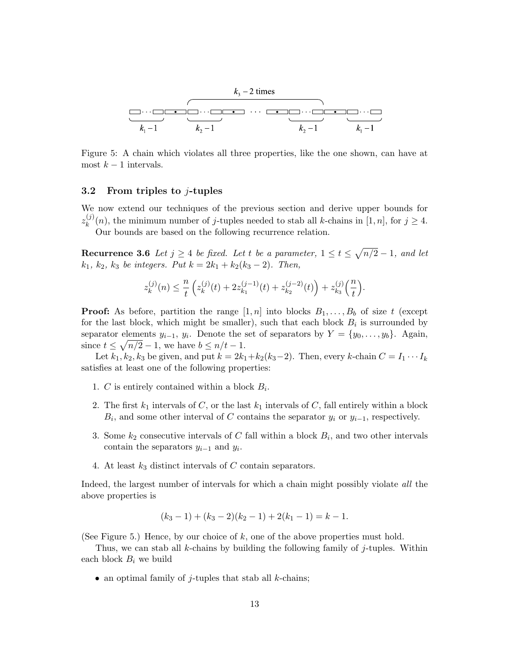

Figure 5: A chain which violates all three properties, like the one shown, can have at most  $k-1$  intervals.

#### 3.2 From triples to j-tuples

We now extend our techniques of the previous section and derive upper bounds for  $z_k^{(j)}$  $_{k}^{(j)}(n)$ , the minimum number of j-tuples needed to stab all k-chains in [1, n], for  $j \geq 4$ . Our bounds are based on the following recurrence relation.

**Recurrence 3.6** Let  $j \geq 4$  be fixed. Let t be a parameter,  $1 \leq t \leq \sqrt{n/2} - 1$ , and let  $k_1, k_2, k_3$  be integers. Put  $k = 2k_1 + k_2(k_3 - 2)$ . Then,

$$
z_k^{(j)}(n) \leq \frac{n}{t} \left( z_k^{(j)}(t) + 2 z_{k_1}^{(j-1)}(t) + z_{k_2}^{(j-2)}(t) \right) + z_{k_3}^{(j)}\left(\frac{n}{t}\right).
$$

**Proof:** As before, partition the range  $[1, n]$  into blocks  $B_1, \ldots, B_b$  of size t (except for the last block, which might be smaller), such that each block  $B_i$  is surrounded by separator elements  $y_{i-1}, y_i$ . Denote the set of separators by  $Y = \{y_0, \ldots, y_b\}$ . Again, since  $t \leq \sqrt{n/2} - 1$ , we have  $b \leq n/t - 1$ .

Let  $k_1, k_2, k_3$  be given, and put  $k = 2k_1+k_2(k_3-2)$ . Then, every k-chain  $C = I_1 \cdots I_k$ satisfies at least one of the following properties:

- 1. C is entirely contained within a block  $B_i$ .
- 2. The first  $k_1$  intervals of C, or the last  $k_1$  intervals of C, fall entirely within a block  $B_i$ , and some other interval of C contains the separator  $y_i$  or  $y_{i-1}$ , respectively.
- 3. Some  $k_2$  consecutive intervals of C fall within a block  $B_i$ , and two other intervals contain the separators  $y_{i-1}$  and  $y_i$ .
- 4. At least  $k_3$  distinct intervals of C contain separators.

Indeed, the largest number of intervals for which a chain might possibly violate all the above properties is

$$
(k_3 - 1) + (k_3 - 2)(k_2 - 1) + 2(k_1 - 1) = k - 1.
$$

(See Figure 5.) Hence, by our choice of  $k$ , one of the above properties must hold.

Thus, we can stab all k-chains by building the following family of  $j$ -tuples. Within each block  $B_i$  we build

• an optimal family of  $j$ -tuples that stab all  $k$ -chains;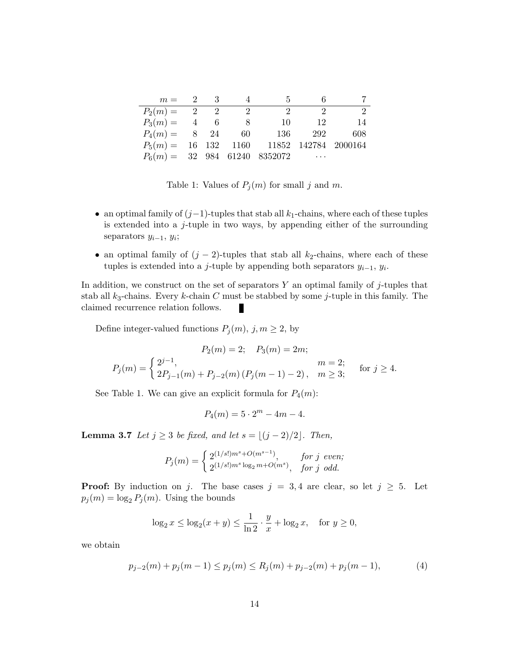| $m = 2 \qquad 3$                                  |  | 4                       | 5                           | 6                           |               |
|---------------------------------------------------|--|-------------------------|-----------------------------|-----------------------------|---------------|
| $P_2(m) = 2 2$                                    |  | $\overline{\mathbf{2}}$ | $\mathcal{D}_{\mathcal{L}}$ | $\mathcal{D}_{\mathcal{L}}$ | $\mathcal{D}$ |
| $P_3(m) = 4 6$                                    |  | 8 <sup>8</sup>          | 10                          | - 12                        | 14            |
| $P_4(m) = 8$ 24 60 136                            |  |                         |                             | 292                         | 608           |
| $P_5(m) = 16$ 132 1160 11852 142784 2000164       |  |                         |                             |                             |               |
| $P_6(m) = 32 \quad 984 \quad 61240 \quad 8352072$ |  |                         |                             | $\cdots$                    |               |

Table 1: Values of  $P_j(m)$  for small j and m.

- an optimal family of  $(j-1)$ -tuples that stab all  $k_1$ -chains, where each of these tuples is extended into a  $j$ -tuple in two ways, by appending either of the surrounding separators  $y_{i-1}, y_i$ ;
- an optimal family of  $(j 2)$ -tuples that stab all  $k_2$ -chains, where each of these tuples is extended into a j-tuple by appending both separators  $y_{i-1}, y_i$ .

In addition, we construct on the set of separators  $Y$  an optimal family of j-tuples that stab all  $k_3$ -chains. Every k-chain C must be stabbed by some j-tuple in this family. The claimed recurrence relation follows.

Define integer-valued functions  $P_j(m)$ ,  $j, m \geq 2$ , by

$$
P_2(m) = 2; \quad P_3(m) = 2m;
$$
  
\n
$$
P_j(m) = \begin{cases} 2^{j-1}, & m = 2; \\ 2P_{j-1}(m) + P_{j-2}(m) (P_j(m-1) - 2), & m \ge 3; \end{cases}
$$
 for  $j \ge 4$ .

See Table 1. We can give an explicit formula for  $P_4(m)$ :

$$
P_4(m) = 5 \cdot 2^m - 4m - 4.
$$

**Lemma 3.7** Let  $j \geq 3$  be fixed, and let  $s = \lfloor (j - 2)/2 \rfloor$ . Then,

$$
P_j(m) = \begin{cases} 2^{(1/s!)m^s + O(m^{s-1})}, & \text{for } j \text{ even}; \\ 2^{(1/s!)m^s \log_2 m + O(m^s)}, & \text{for } j \text{ odd}. \end{cases}
$$

**Proof:** By induction on j. The base cases  $j = 3, 4$  are clear, so let  $j \geq 5$ . Let  $p_j(m) = \log_2 P_j(m)$ . Using the bounds

$$
\log_2 x \le \log_2(x+y) \le \frac{1}{\ln 2} \cdot \frac{y}{x} + \log_2 x, \quad \text{for } y \ge 0,
$$

we obtain

$$
p_{j-2}(m) + p_j(m-1) \le p_j(m) \le R_j(m) + p_{j-2}(m) + p_j(m-1),
$$
\n(4)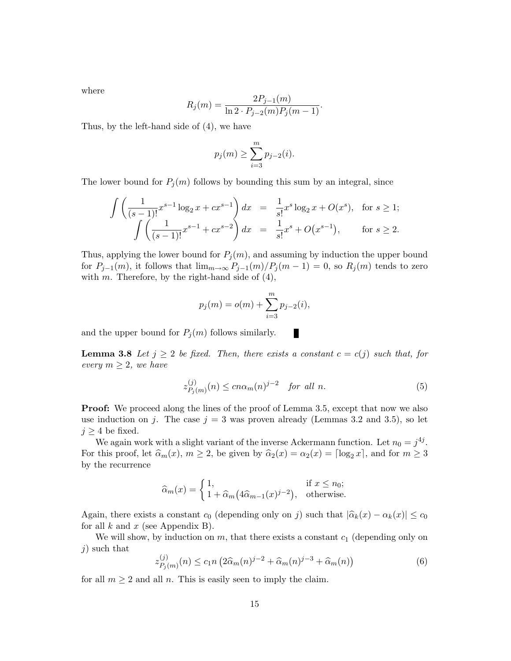where

$$
R_j(m) = \frac{2P_{j-1}(m)}{\ln 2 \cdot P_{j-2}(m)P_j(m-1)}.
$$

Thus, by the left-hand side of (4), we have

$$
p_j(m) \ge \sum_{i=3}^m p_{j-2}(i).
$$

The lower bound for  $P_j(m)$  follows by bounding this sum by an integral, since

$$
\int \left( \frac{1}{(s-1)!} x^{s-1} \log_2 x + c x^{s-1} \right) dx = \frac{1}{s!} x^s \log_2 x + O(x^s), \text{ for } s \ge 1;
$$
  

$$
\int \left( \frac{1}{(s-1)!} x^{s-1} + c x^{s-2} \right) dx = \frac{1}{s!} x^s + O(x^{s-1}), \text{ for } s \ge 2.
$$

Thus, applying the lower bound for  $P_j(m)$ , and assuming by induction the upper bound for  $P_{j-1}(m)$ , it follows that  $\lim_{m\to\infty} P_{j-1}(m)/P_j(m-1) = 0$ , so  $R_j(m)$  tends to zero with m. Therefore, by the right-hand side of  $(4)$ ,

$$
p_j(m) = o(m) + \sum_{i=3}^{m} p_{j-2}(i),
$$

and the upper bound for  $P_j(m)$  follows similarly.

**Lemma 3.8** Let  $j \geq 2$  be fixed. Then, there exists a constant  $c = c(j)$  such that, for every  $m \geq 2$ , we have

$$
z_{P_j(m)}^{(j)}(n) \le c n \alpha_m(n)^{j-2} \quad \text{for all } n. \tag{5}
$$

П

**Proof:** We proceed along the lines of the proof of Lemma 3.5, except that now we also use induction on j. The case  $j = 3$  was proven already (Lemmas 3.2 and 3.5), so let  $j \geq 4$  be fixed.

We again work with a slight variant of the inverse Ackermann function. Let  $n_0 = j^{4j}$ . For this proof, let  $\widehat{\alpha}_m(x)$ ,  $m \ge 2$ , be given by  $\widehat{\alpha}_2(x) = \alpha_2(x) = \lceil \log_2 x \rceil$ , and for  $m \ge 3$ by the recurrence

$$
\widehat{\alpha}_m(x) = \begin{cases} 1, & \text{if } x \le n_0; \\ 1 + \widehat{\alpha}_m(4\widehat{\alpha}_{m-1}(x)^{j-2}), & \text{otherwise.} \end{cases}
$$

Again, there exists a constant  $c_0$  (depending only on j) such that  $|\hat{\alpha}_k(x) - \alpha_k(x)| \leq c_0$ for all k and x (see Appendix B).

We will show, by induction on  $m$ , that there exists a constant  $c_1$  (depending only on  $j$ ) such that

$$
z_{P_j(m)}^{(j)}(n) \le c_1 n \left(2\hat{\alpha}_m(n)^{j-2} + \hat{\alpha}_m(n)^{j-3} + \hat{\alpha}_m(n)\right) \tag{6}
$$

for all  $m \geq 2$  and all n. This is easily seen to imply the claim.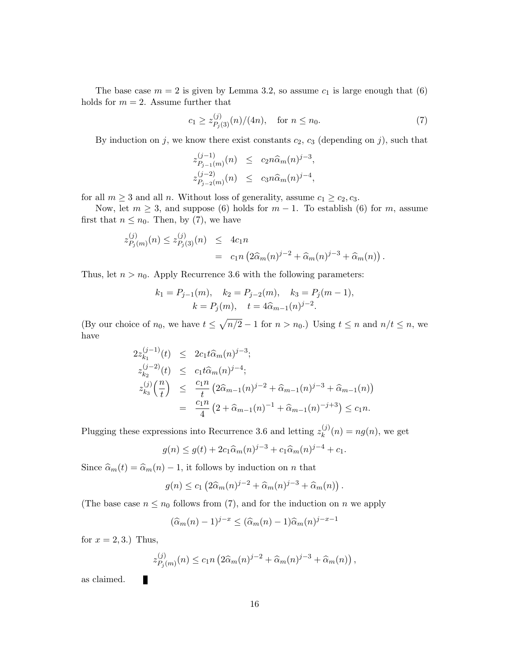The base case  $m = 2$  is given by Lemma 3.2, so assume  $c_1$  is large enough that (6) holds for  $m = 2$ . Assume further that

$$
c_1 \ge z_{P_j(3)}^{(j)}(n)/(4n), \quad \text{for } n \le n_0. \tag{7}
$$

By induction on j, we know there exist constants  $c_2$ ,  $c_3$  (depending on j), such that

$$
z_{P_{j-1}(m)}^{(j-1)}(n) \leq c_2 n \widehat{\alpha}_m(n)^{j-3},
$$
  

$$
z_{P_{j-2}(m)}^{(j-2)}(n) \leq c_3 n \widehat{\alpha}_m(n)^{j-4},
$$

for all  $m \geq 3$  and all n. Without loss of generality, assume  $c_1 \geq c_2, c_3$ .

Now, let  $m \geq 3$ , and suppose (6) holds for  $m-1$ . To establish (6) for m, assume first that  $n \leq n_0$ . Then, by (7), we have

$$
z_{P_j(m)}^{(j)}(n) \le z_{P_j(3)}^{(j)}(n) \le 4c_1n
$$
  
=  $c_1n (2\hat{\alpha}_m(n)^{j-2} + \hat{\alpha}_m(n)^{j-3} + \hat{\alpha}_m(n)).$ 

Thus, let  $n > n_0$ . Apply Recurrence 3.6 with the following parameters:

$$
k_1 = P_{j-1}(m), \quad k_2 = P_{j-2}(m), \quad k_3 = P_j(m-1),
$$
  

$$
k = P_j(m), \quad t = 4\hat{\alpha}_{m-1}(n)^{j-2}.
$$

(By our choice of  $n_0$ , we have  $t \leq \sqrt{n/2} - 1$  for  $n > n_0$ .) Using  $t \leq n$  and  $n/t \leq n$ , we have

$$
2z_{k_1}^{(j-1)}(t) \leq 2c_1 t \widehat{\alpha}_m(n)^{j-3};
$$
  
\n
$$
z_{k_2}^{(j-2)}(t) \leq c_1 t \widehat{\alpha}_m(n)^{j-4};
$$
  
\n
$$
z_{k_3}^{(j)}\left(\frac{n}{t}\right) \leq \frac{c_1 n}{t} \left(2\widehat{\alpha}_{m-1}(n)^{j-2} + \widehat{\alpha}_{m-1}(n)^{j-3} + \widehat{\alpha}_{m-1}(n)\right)
$$
  
\n
$$
= \frac{c_1 n}{4} \left(2 + \widehat{\alpha}_{m-1}(n)^{-1} + \widehat{\alpha}_{m-1}(n)^{-j+3}\right) \leq c_1 n.
$$

Plugging these expressions into Recurrence 3.6 and letting  $z_k^{(j)}$  $k^{(j)}(n) = n g(n)$ , we get

$$
g(n) \le g(t) + 2c_1 \widehat{\alpha}_m(n)^{j-3} + c_1 \widehat{\alpha}_m(n)^{j-4} + c_1.
$$

Since  $\hat{\alpha}_m(t) = \hat{\alpha}_m(n) - 1$ , it follows by induction on n that

$$
g(n) \leq c_1 \left( 2\widehat{\alpha}_m(n)^{j-2} + \widehat{\alpha}_m(n)^{j-3} + \widehat{\alpha}_m(n) \right).
$$

(The base case  $n \leq n_0$  follows from (7), and for the induction on n we apply

$$
(\widehat{\alpha}_m(n)-1)^{j-x} \leq (\widehat{\alpha}_m(n)-1)\widehat{\alpha}_m(n)^{j-x-1}
$$

for  $x = 2, 3$ .) Thus,

П

$$
z_{P_j(m)}^{(j)}(n) \le c_1 n \left( 2 \widehat{\alpha}_m(n)^{j-2} + \widehat{\alpha}_m(n)^{j-3} + \widehat{\alpha}_m(n) \right),
$$

as claimed.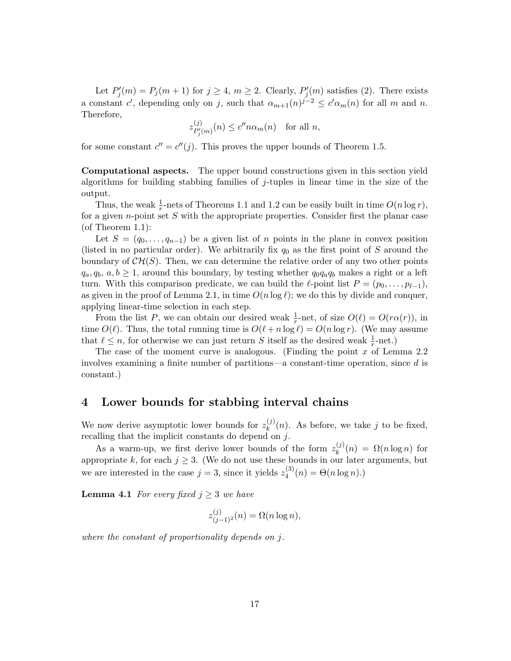Let  $P'_{j}(m) = P_{j}(m+1)$  for  $j \geq 4, m \geq 2$ . Clearly,  $P'_{j}(m)$  satisfies (2). There exists a constant c', depending only on j, such that  $\alpha_{m+1}(n)^{j-2} \leq c' \alpha_m(n)$  for all m and n. Therefore,

$$
z_{P'_{j}(m)}^{(j)}(n) \le c'' n \alpha_{m}(n) \quad \text{for all } n,
$$

for some constant  $c'' = c''(j)$ . This proves the upper bounds of Theorem 1.5.

Computational aspects. The upper bound constructions given in this section yield algorithms for building stabbing families of j-tuples in linear time in the size of the output.

Thus, the weak  $\frac{1}{r}$ -nets of Theorems 1.1 and 1.2 can be easily built in time  $O(n \log r)$ , for a given n-point set  $S$  with the appropriate properties. Consider first the planar case (of Theorem 1.1):

Let  $S = (q_0, \ldots, q_{n-1})$  be a given list of n points in the plane in convex position (listed in no particular order). We arbitrarily fix  $q_0$  as the first point of S around the boundary of  $\mathcal{CH}(S)$ . Then, we can determine the relative order of any two other points  $q_a, q_b, a, b \geq 1$ , around this boundary, by testing whether  $q_0q_aq_b$  makes a right or a left turn. With this comparison predicate, we can build the  $\ell$ -point list  $P = (p_0, \ldots, p_{\ell-1}),$ as given in the proof of Lemma 2.1, in time  $O(n \log \ell)$ ; we do this by divide and conquer. applying linear-time selection in each step.

From the list P, we can obtain our desired weak  $\frac{1}{r}$ -net, of size  $O(\ell) = O(r\alpha(r))$ , in time  $O(\ell)$ . Thus, the total running time is  $O(\ell + n \log \ell) = O(n \log r)$ . (We may assume that  $\ell \leq n$ , for otherwise we can just return S itself as the desired weak  $\frac{1}{r}$ -net.)

The case of the moment curve is analogous. (Finding the point  $x$  of Lemma 2.2 involves examining a finite number of partitions—a constant-time operation, since d is constant.)

## 4 Lower bounds for stabbing interval chains

We now derive asymptotic lower bounds for  $z_k^{(j)}$  $\binom{N}{k}(n)$ . As before, we take j to be fixed, recalling that the implicit constants do depend on  $j$ .

As a warm-up, we first derive lower bounds of the form  $z_k^{(j)}$  $\Omega_n^{(J)}(n) = \Omega(n \log n)$  for appropriate k, for each  $j \geq 3$ . (We do not use these bounds in our later arguments, but we are interested in the case  $j = 3$ , since it yields  $z_4^{(3)}$  $\mathcal{A}_{4}^{(0)}(n) = \Theta(n \log n).$ 

**Lemma 4.1** For every fixed  $j \geq 3$  we have

$$
z_{(j-1)^2}^{(j)}(n) = \Omega(n \log n),
$$

where the constant of proportionality depends on j.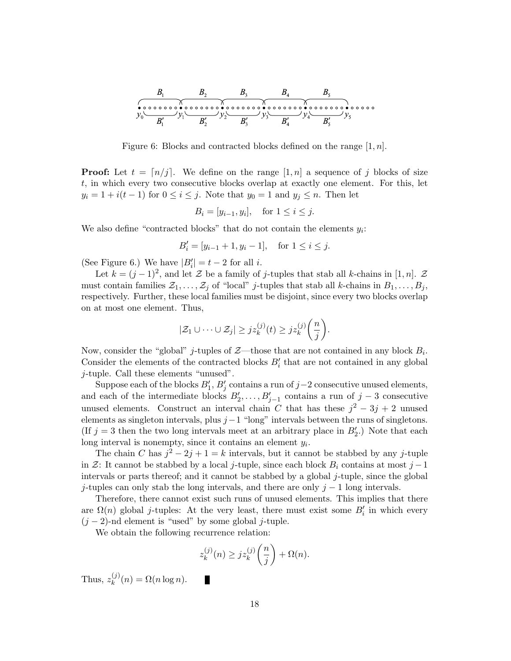

Figure 6: Blocks and contracted blocks defined on the range  $[1, n]$ .

**Proof:** Let  $t = \lfloor n/j \rfloor$ . We define on the range  $[1, n]$  a sequence of j blocks of size t, in which every two consecutive blocks overlap at exactly one element. For this, let  $y_i = 1 + i(t - 1)$  for  $0 \le i \le j$ . Note that  $y_0 = 1$  and  $y_j \le n$ . Then let

 $B_i = [y_{i-1}, y_i], \text{ for } 1 \le i \le j.$ 

We also define "contracted blocks" that do not contain the elements  $y_i$ :

$$
B_i' = [y_{i-1} + 1, y_i - 1], \text{ for } 1 \le i \le j.
$$

(See Figure 6.) We have  $|B'_i| = t - 2$  for all *i*.

Let  $k = (j-1)^2$ , and let Z be a family of j-tuples that stab all k-chains in [1, n]. Z must contain families  $\mathcal{Z}_1, \ldots, \mathcal{Z}_j$  of "local" *j*-tuples that stab all *k*-chains in  $B_1, \ldots, B_j$ , respectively. Further, these local families must be disjoint, since every two blocks overlap on at most one element. Thus,

$$
|\mathcal{Z}_1 \cup \cdots \cup \mathcal{Z}_j| \geq j z_k^{(j)}(t) \geq j z_k^{(j)}\bigg(\frac{n}{j}\bigg).
$$

Now, consider the "global" *j*-tuples of  $\mathcal{Z}$ —those that are not contained in any block  $B_i$ . Consider the elements of the contracted blocks  $B_i'$  that are not contained in any global j-tuple. Call these elements "unused".

Suppose each of the blocks  $B'_1$ ,  $B'_j$  contains a run of  $j-2$  consecutive unused elements, and each of the intermediate blocks  $B'_2, \ldots, B'_{j-1}$  contains a run of  $j-3$  consecutive unused elements. Construct an interval chain C that has these  $j^2 - 3j + 2$  unused elements as singleton intervals, plus  $j-1$  "long" intervals between the runs of singletons. (If  $j = 3$  then the two long intervals meet at an arbitrary place in  $B'_2$ .) Note that each long interval is nonempty, since it contains an element  $y_i$ .

The chain C has  $j^2 - 2j + 1 = k$  intervals, but it cannot be stabbed by any j-tuple in Z: It cannot be stabbed by a local j-tuple, since each block  $B_i$  contains at most j – 1 intervals or parts thereof; and it cannot be stabbed by a global  $j$ -tuple, since the global j-tuples can only stab the long intervals, and there are only  $j - 1$  long intervals.

Therefore, there cannot exist such runs of unused elements. This implies that there are  $\Omega(n)$  global *j*-tuples: At the very least, there must exist some  $B_i'$  in which every  $(j-2)$ -nd element is "used" by some global j-tuple.

We obtain the following recurrence relation:

П

$$
z_k^{(j)}(n) \ge j z_k^{(j)}\left(\frac{n}{j}\right) + \Omega(n).
$$

Thus,  $z_k^{(j)}$  $\mathcal{L}_{k}^{(J)}(n) = \Omega(n \log n).$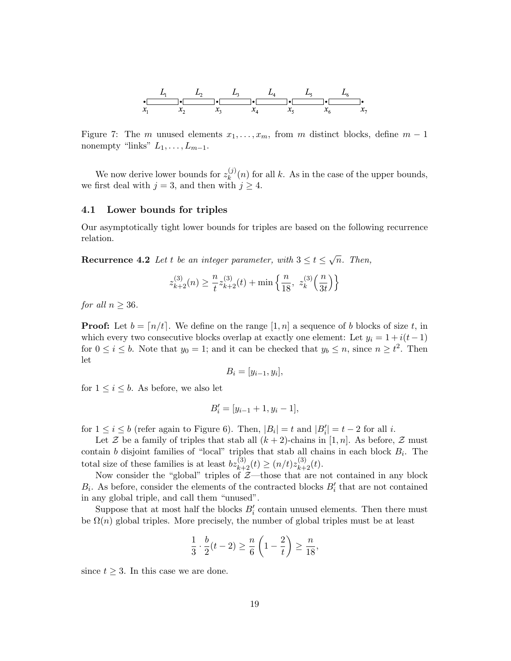

Figure 7: The m unused elements  $x_1, \ldots, x_m$ , from m distinct blocks, define  $m-1$ nonempty "links"  $L_1, \ldots, L_{m-1}$ .

We now derive lower bounds for  $z_k^{(j)}$  $\binom{1}{k}(n)$  for all k. As in the case of the upper bounds, we first deal with  $j = 3$ , and then with  $j \geq 4$ .

#### 4.1 Lower bounds for triples

Our asymptotically tight lower bounds for triples are based on the following recurrence relation.

**Recurrence 4.2** Let t be an integer parameter, with  $3 \le t \le \sqrt{n}$ . Then,

$$
z_{k+2}^{(3)}(n) \geq \frac{n}{t} z_{k+2}^{(3)}(t) + \min\left\{\frac{n}{18}, z_k^{(3)}\left(\frac{n}{3t}\right)\right\}
$$

for all  $n \geq 36$ .

**Proof:** Let  $b = \lfloor n/t \rfloor$ . We define on the range  $\lfloor 1, n \rfloor$  a sequence of b blocks of size t, in which every two consecutive blocks overlap at exactly one element: Let  $y_i = 1 + i(t - 1)$ for  $0 \le i \le b$ . Note that  $y_0 = 1$ ; and it can be checked that  $y_b \le n$ , since  $n \ge t^2$ . Then let

$$
B_i = [y_{i-1}, y_i],
$$

for  $1 \leq i \leq b$ . As before, we also let

$$
B_i' = [y_{i-1} + 1, y_i - 1],
$$

for  $1 \leq i \leq b$  (refer again to Figure 6). Then,  $|B_i| = t$  and  $|B'_i| = t - 2$  for all *i*.

Let Z be a family of triples that stab all  $(k+2)$ -chains in [1, n]. As before, Z must contain b disjoint families of "local" triples that stab all chains in each block  $B_i$ . The total size of these families is at least  $bz_{k+2}^{(3)}(t) \ge (n/t)z_{k+2}^{(3)}(t)$ .

Now consider the "global" triples of  $\mathcal{Z}-$  those that are not contained in any block  $B_i$ . As before, consider the elements of the contracted blocks  $B_i'$  that are not contained in any global triple, and call them "unused".

Suppose that at most half the blocks  $B_i'$  contain unused elements. Then there must be  $\Omega(n)$  global triples. More precisely, the number of global triples must be at least

$$
\frac{1}{3} \cdot \frac{b}{2}(t-2) \ge \frac{n}{6} \left(1 - \frac{2}{t}\right) \ge \frac{n}{18},
$$

since  $t \geq 3$ . In this case we are done.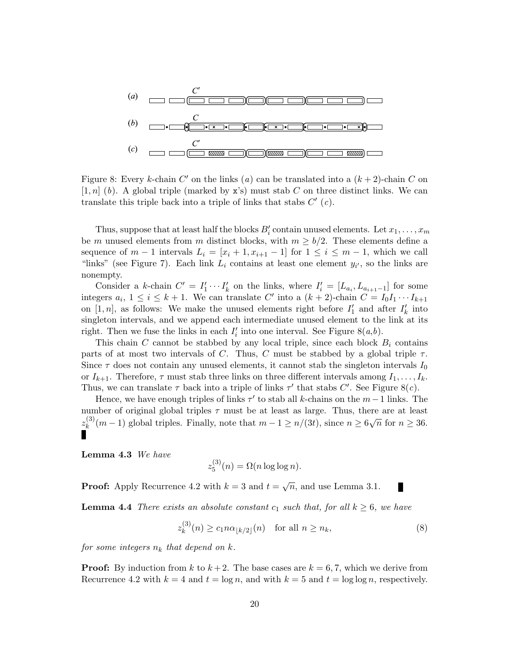

Figure 8: Every k-chain  $C'$  on the links (a) can be translated into a  $(k+2)$ -chain C on  $[1, n]$  (b). A global triple (marked by x's) must stab C on three distinct links. We can translate this triple back into a triple of links that stabs  $C'$  (c).

Thus, suppose that at least half the blocks  $B_i'$  contain unused elements. Let  $x_1, \ldots, x_m$ be m unused elements from m distinct blocks, with  $m \geq b/2$ . These elements define a sequence of  $m-1$  intervals  $L_i = [x_i + 1, x_{i+1} - 1]$  for  $1 \leq i \leq m-1$ , which we call "links" (see Figure 7). Each link  $L_i$  contains at least one element  $y_{i'}$ , so the links are nonempty.

Consider a k-chain  $C' = I'_1 \cdots I'_k$  on the links, where  $I'_i = [L_{a_i}, L_{a_{i+1}-1}]$  for some integers  $a_i$ ,  $1 \le i \le k+1$ . We can translate C' into a  $(k+2)$ -chain  $C = I_0I_1 \cdots I_{k+1}$ on [1, n], as follows: We make the unused elements right before  $I'_1$  and after  $I'_k$  into singleton intervals, and we append each intermediate unused element to the link at its right. Then we fuse the links in each  $I'_i$  into one interval. See Figure 8(a,b).

This chain C cannot be stabbed by any local triple, since each block  $B_i$  contains parts of at most two intervals of C. Thus, C must be stabbed by a global triple  $\tau$ . Since  $\tau$  does not contain any unused elements, it cannot stab the singleton intervals  $I_0$ or  $I_{k+1}$ . Therefore,  $\tau$  must stab three links on three different intervals among  $I_1, \ldots, I_k$ . Thus, we can translate  $\tau$  back into a triple of links  $\tau'$  that stabs C'. See Figure 8(c).

Hence, we have enough triples of links  $\tau'$  to stab all k-chains on the  $m-1$  links. The number of original global triples  $\tau$  must be at least as large. Thus, there are at least  $z_k^{(3)}$ (3)(m – 1) global triples. Finally, note that  $m-1 \ge n/(3t)$ , since  $n \ge 6\sqrt{n}$  for  $n \ge 36$ .

Lemma 4.3 We have

$$
z_5^{(3)}(n) = \Omega(n \log \log n).
$$

**Proof:** Apply Recurrence 4.2 with  $k = 3$  and  $t = \sqrt{n}$ , and use Lemma 3.1.

**Lemma 4.4** There exists an absolute constant  $c_1$  such that, for all  $k \geq 6$ , we have

$$
z_k^{(3)}(n) \ge c_1 n \alpha_{\lfloor k/2 \rfloor}(n) \quad \text{for all } n \ge n_k,
$$
\n
$$
(8)
$$

for some integers  $n_k$  that depend on k.

**Proof:** By induction from k to  $k + 2$ . The base cases are  $k = 6, 7$ , which we derive from Recurrence 4.2 with  $k = 4$  and  $t = \log n$ , and with  $k = 5$  and  $t = \log \log n$ , respectively.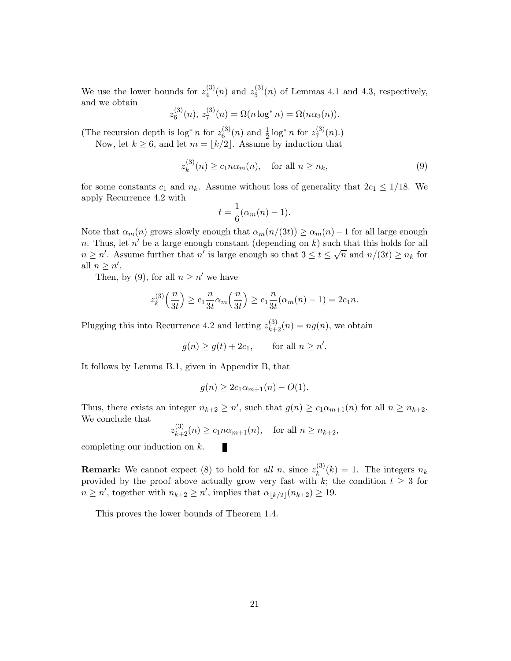We use the lower bounds for  $z_4^{(3)}$  $z_4^{(3)}(n)$  and  $z_5^{(3)}$  $^{(5)}_{5}(n)$  of Lemmas 4.1 and 4.3, respectively, and we obtain  $\langle 3 \rangle$  $\langle 2 \rangle$ 

$$
z_6^{(3)}(n), z_7^{(3)}(n) = \Omega(n \log^* n) = \Omega(n \alpha_3(n)).
$$

(The recursion depth is  $\log^* n$  for  $z_6^{(3)}$ )  $_{6}^{(3)}(n)$  and  $\frac{1}{2}$  log<sup>\*</sup> *n* for  $z_7^{(3)}$  $\binom{5}{7}(n)$ .)

Now, let  $k \geq 6$ , and let  $m = \lfloor k/2 \rfloor$ . Assume by induction that

$$
z_k^{(3)}(n) \ge c_1 n \alpha_m(n), \quad \text{for all } n \ge n_k,
$$
\n
$$
(9)
$$

for some constants  $c_1$  and  $n_k$ . Assume without loss of generality that  $2c_1 \leq 1/18$ . We apply Recurrence 4.2 with

$$
t = \frac{1}{6}(\alpha_m(n) - 1).
$$

Note that  $\alpha_m(n)$  grows slowly enough that  $\alpha_m(n/(3t)) \geq \alpha_m(n) - 1$  for all large enough n. Thus, let n' be a large enough constant (depending on k) such that this holds for all  $n \geq n'$ . Assume further that n' is large enough so that  $3 \leq t \leq \sqrt{n}$  and  $n/(3t) \geq n_k$  for all  $n \geq n'$ .

Then, by (9), for all  $n \geq n'$  we have

$$
z_k^{(3)}\left(\frac{n}{3t}\right) \ge c_1 \frac{n}{3t} \alpha_m\left(\frac{n}{3t}\right) \ge c_1 \frac{n}{3t} (\alpha_m(n)-1) = 2c_1 n.
$$

Plugging this into Recurrence 4.2 and letting  $z_{k+2}^{(3)}(n) = ng(n)$ , we obtain

П

 $g(n) \ge g(t) + 2c_1$ , for all  $n \ge n'$ .

It follows by Lemma B.1, given in Appendix B, that

$$
g(n) \ge 2c_1 \alpha_{m+1}(n) - O(1).
$$

Thus, there exists an integer  $n_{k+2} \geq n'$ , such that  $g(n) \geq c_1 \alpha_{m+1}(n)$  for all  $n \geq n_{k+2}$ . We conclude that  $(9)$ 

$$
z_{k+2}^{(3)}(n) \ge c_1 n \alpha_{m+1}(n)
$$
, for all  $n \ge n_{k+2}$ ,

completing our induction on k.

**Remark:** We cannot expect (8) to hold for all n, since  $z_k^{(3)}$  $\binom{S}{k}(k) = 1$ . The integers  $n_k$ provided by the proof above actually grow very fast with k; the condition  $t \geq 3$  for  $n \geq n'$ , together with  $n_{k+2} \geq n'$ , implies that  $\alpha_{\lfloor k/2 \rfloor}(n_{k+2}) \geq 19$ .

This proves the lower bounds of Theorem 1.4.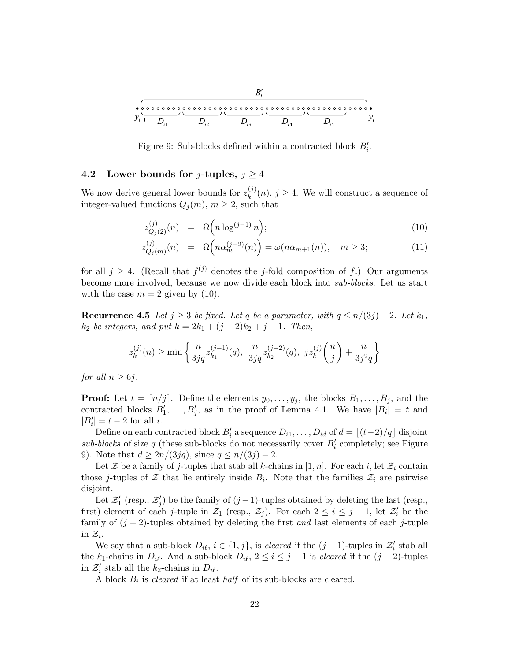

Figure 9: Sub-blocks defined within a contracted block  $B'_i$ .

## 4.2 Lower bounds for j-tuples,  $j \geq 4$

We now derive general lower bounds for  $z_k^{(j)}$  $_k^{\mathcal{O}}(n), j \geq 4$ . We will construct a sequence of integer-valued functions  $Q_i(m)$ ,  $m \geq 2$ , such that

$$
z_{Q_j(2)}^{(j)}(n) = \Omega\Big(n \log^{(j-1)} n\Big); \tag{10}
$$

$$
z_{Q_j(m)}^{(j)}(n) = \Omega\left(n\alpha_m^{(j-2)}(n)\right) = \omega(n\alpha_{m+1}(n)), \quad m \ge 3; \tag{11}
$$

for all  $j \geq 4$ . (Recall that  $f^{(j)}$  denotes the j-fold composition of f.) Our arguments become more involved, because we now divide each block into sub-blocks. Let us start with the case  $m = 2$  given by (10).

Recurrence 4.5 Let  $j \geq 3$  be fixed. Let q be a parameter, with  $q \leq n/(3j) - 2$ . Let  $k_1$ ,  $k_2$  be integers, and put  $k = 2k_1 + (j - 2)k_2 + j - 1$ . Then,

$$
z_k^{(j)}(n) \ge \min\left\{\frac{n}{3jq}z_{k_1}^{(j-1)}(q), \ \frac{n}{3jq}z_{k_2}^{(j-2)}(q), \ jz_k^{(j)}\left(\frac{n}{j}\right) + \frac{n}{3j^2q}\right\}
$$

for all  $n > 6$ *j*.

**Proof:** Let  $t = \lfloor n/j \rfloor$ . Define the elements  $y_0, \ldots, y_j$ , the blocks  $B_1, \ldots, B_j$ , and the contracted blocks  $B'_1, \ldots, B'_j$ , as in the proof of Lemma 4.1. We have  $|B_i| = t$  and  $|B'_i| = t - 2$  for all *i*.

Define on each contracted block  $B_i'$  a sequence  $D_{i1}, \ldots, D_{id}$  of  $d = \lfloor (t-2)/q \rfloor$  disjoint sub-blocks of size  $q$  (these sub-blocks do not necessarily cover  $B_i'$  completely; see Figure 9). Note that  $d \geq 2n/(3jq)$ , since  $q \leq n/(3j) - 2$ .

Let Z be a family of j-tuples that stab all k-chains in [1, n]. For each i, let  $\mathcal{Z}_i$  contain those j-tuples of  $\mathcal Z$  that lie entirely inside  $B_i$ . Note that the families  $\mathcal Z_i$  are pairwise disjoint.

Let  $\mathcal{Z}'_1$  (resp.,  $\mathcal{Z}'_j$ ) be the family of  $(j-1)$ -tuples obtained by deleting the last (resp., first) element of each j-tuple in  $\mathcal{Z}_1$  (resp.,  $\mathcal{Z}_j$ ). For each  $2 \leq i \leq j-1$ , let  $\mathcal{Z}'_i$  be the family of  $(j-2)$ -tuples obtained by deleting the first and last elements of each j-tuple in  $\mathcal{Z}_i$ .

We say that a sub-block  $D_{i\ell}, i \in \{1, j\}$ , is *cleared* if the  $(j - 1)$ -tuples in  $\mathcal{Z}'_i$  stab all the k<sub>1</sub>-chains in  $D_{i\ell}$ . And a sub-block  $D_{i\ell}$ ,  $2 \leq i \leq j-1$  is *cleared* if the  $(j-2)$ -tuples in  $\mathcal{Z}'_i$  stab all the  $k_2$ -chains in  $D_{i\ell}$ .

A block  $B_i$  is *cleared* if at least *half* of its sub-blocks are cleared.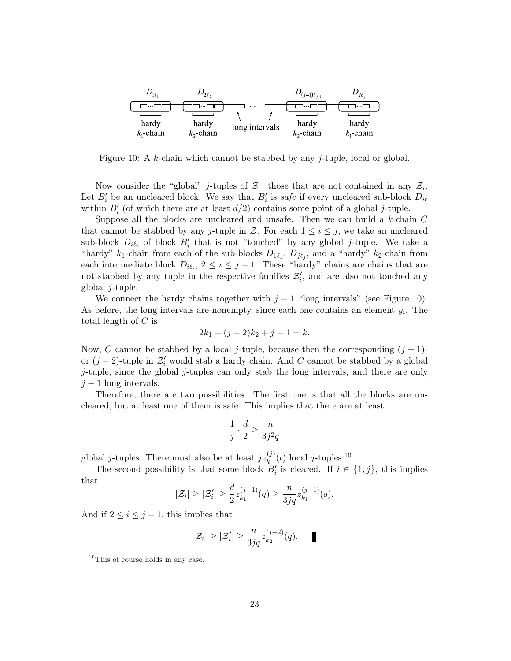

Figure 10: A k-chain which cannot be stabbed by any *j*-tuple, local or global.

Now consider the "global" *j*-tuples of  $\mathcal{Z}$ —those that are not contained in any  $\mathcal{Z}_i$ . Let  $B_i'$  be an uncleared block. We say that  $B_i'$  is safe if every uncleared sub-block  $D_{i\ell}$ within  $B_i'$  (of which there are at least  $d/2$ ) contains some point of a global j-tuple.

Suppose all the blocks are uncleared and unsafe. Then we can build a  $k$ -chain  $C$ that cannot be stabbed by any j-tuple in  $\mathcal{Z}$ : For each  $1 \leq i \leq j$ , we take an uncleared sub-block  $D_{i\ell_i}$  of block  $B'_i$  that is not "touched" by any global j-tuple. We take a "hardy"  $k_1$ -chain from each of the sub-blocks  $D_{1\ell_1}$ ,  $D_{j\ell_j}$ , and a "hardy"  $k_2$ -chain from each intermediate block  $D_{i\ell_i}$ ,  $2 \leq i \leq j-1$ . These "hardy" chains are chains that are not stabbed by any tuple in the respective families  $\mathcal{Z}'_i$ , and are also not touched any global j-tuple.

We connect the hardy chains together with  $j - 1$  "long intervals" (see Figure 10). As before, the long intervals are nonempty, since each one contains an element  $y_i$ . The total length of  $C$  is

$$
2k_1 + (j-2)k_2 + j - 1 = k.
$$

Now, C cannot be stabbed by a local j-tuple, because then the corresponding  $(j-1)$ or  $(j-2)$ -tuple in  $\mathcal{Z}'_i$  would stab a hardy chain. And C cannot be stabbed by a global j-tuple, since the global j-tuples can only stab the long intervals, and there are only  $j-1$  long intervals.

Therefore, there are two possibilities. The first one is that all the blocks are uncleared, but at least one of them is safe. This implies that there are at least

$$
\frac{1}{j}\cdot\frac{d}{2}\geq\frac{n}{3j^2q}
$$

global *j*-tuples. There must also be at least  $jz_k^{(j)}(t)$  local *j*-tuples.<sup>10</sup>

The second possibility is that some block  $B_i'$  is cleared. If  $i \in \{1, j\}$ , this implies that

$$
|\mathcal{Z}_i| \geq |\mathcal{Z}'_i| \geq \frac{d}{2} z_{k_1}^{(j-1)}(q) \geq \frac{n}{3jq} z_{k_1}^{(j-1)}(q).
$$

And if  $2 \leq i \leq j-1$ , this implies that

$$
|\mathcal{Z}_i|\geq |\mathcal{Z}_i'|\geq \frac{n}{3jq}z_{k_2}^{(j-2)}(q).\quad \blacksquare
$$

<sup>10</sup>This of course holds in any case.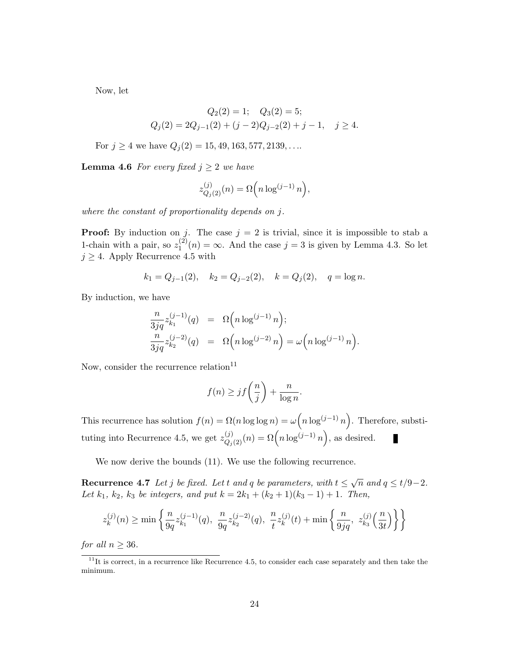Now, let

$$
Q_2(2) = 1;
$$
  $Q_3(2) = 5;$   
\n $Q_j(2) = 2Q_{j-1}(2) + (j-2)Q_{j-2}(2) + j - 1,$   $j \ge 4.$ 

For  $j \geq 4$  we have  $Q_j(2) = 15, 49, 163, 577, 2139, \ldots$ 

**Lemma 4.6** For every fixed  $j \geq 2$  we have

$$
z_{Q_j(2)}^{(j)}(n) = \Omega\Big(n \log^{(j-1)} n\Big),\,
$$

where the constant of proportionality depends on j.

**Proof:** By induction on j. The case  $j = 2$  is trivial, since it is impossible to stab a 1-chain with a pair, so  $z_1^{(2)}$  $1^{(2)}(n) = \infty$ . And the case  $j = 3$  is given by Lemma 4.3. So let  $j \geq 4$ . Apply Recurrence 4.5 with

$$
k_1 = Q_{j-1}(2)
$$
,  $k_2 = Q_{j-2}(2)$ ,  $k = Q_j(2)$ ,  $q = \log n$ .

By induction, we have

$$
\frac{n}{3jq} z_{k_1}^{(j-1)}(q) = \Omega\left(n \log^{(j-1)} n\right);
$$
  

$$
\frac{n}{3jq} z_{k_2}^{(j-2)}(q) = \Omega\left(n \log^{(j-2)} n\right) = \omega\left(n \log^{(j-1)} n\right).
$$

Now, consider the recurrence relation $11$ 

$$
f(n) \geq jf\left(\frac{n}{j}\right) + \frac{n}{\log n}.
$$

This recurrence has solution  $f(n) = \Omega(n \log \log n) = \omega(n \log^{(j-1)} n)$ . Therefore, substituting into Recurrence 4.5, we get  $z_{Q_j(2)}^{(j)}(n) = \Omega\left(n \log^{(j-1)} n\right)$ , as desired. П

We now derive the bounds (11). We use the following recurrence.

**Recurrence 4.7** Let j be fixed. Let t and q be parameters, with  $t \leq \sqrt{n}$  and  $q \leq t/9-2$ . Let  $k_1, k_2, k_3$  be integers, and put  $k = 2k_1 + (k_2 + 1)(k_3 - 1) + 1$ . Then,

$$
z_k^{(j)}(n) \ge \min\left\{\frac{n}{9q}z_{k_1}^{(j-1)}(q), \ \frac{n}{9q}z_{k_2}^{(j-2)}(q), \ \frac{n}{t}z_k^{(j)}(t) + \min\left\{\frac{n}{9jq}, \ z_{k_3}^{(j)}\left(\frac{n}{3t}\right)\right\}\right\}
$$

for all  $n \geq 36$ .

 $11$ <sup>It</sup> is correct, in a recurrence like Recurrence 4.5, to consider each case separately and then take the minimum.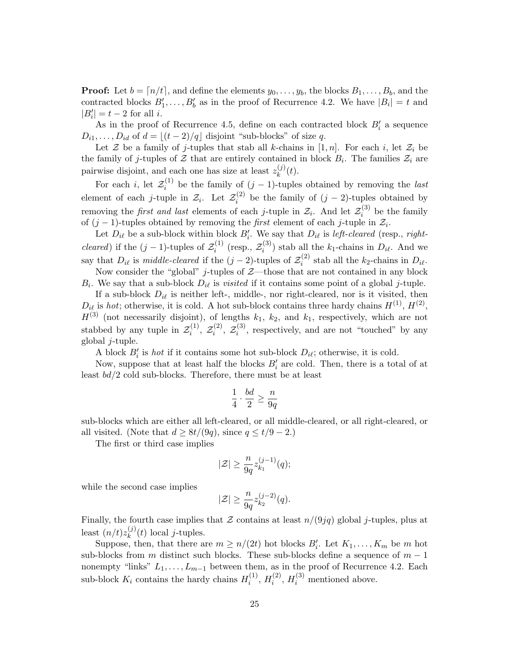**Proof:** Let  $b = [n/t]$ , and define the elements  $y_0, \ldots, y_b$ , the blocks  $B_1, \ldots, B_b$ , and the contracted blocks  $B'_1, \ldots, B'_b$  as in the proof of Recurrence 4.2. We have  $|B_i| = t$  and  $|B'_i| = t - 2$  for all *i*.

As in the proof of Recurrence 4.5, define on each contracted block  $B_i'$  a sequence  $D_{i1}, \ldots, D_{id}$  of  $d = |(t - 2)/q|$  disjoint "sub-blocks" of size q.

Let Z be a family of j-tuples that stab all k-chains in [1, n]. For each i, let  $\mathcal{Z}_i$  be the family of j-tuples of  $\mathcal Z$  that are entirely contained in block  $B_i$ . The families  $\mathcal Z_i$  are pairwise disjoint, and each one has size at least  $z_k^{(j)}$  $_k^{(J)}(t)$ .

For each *i*, let  $\mathcal{Z}_i^{(1)}$  $i^{(1)}$  be the family of  $(j-1)$ -tuples obtained by removing the *last* element of each *j*-tuple in  $\mathcal{Z}_i$ . Let  $\mathcal{Z}_i^{(2)}$  $i^{(2)}$  be the family of  $(j-2)$ -tuples obtained by removing the *first and last* elements of each *j*-tuple in  $\mathcal{Z}_i$ . And let  $\mathcal{Z}_i^{(3)}$  $i^{(5)}$  be the family of  $(j-1)$ -tuples obtained by removing the *first* element of each j-tuple in  $\mathcal{Z}_i$ .

Let  $D_{i\ell}$  be a sub-block within block  $B'_i$ . We say that  $D_{i\ell}$  is *left-cleared* (resp., *rightcleared*) if the  $(j-1)$ -tuples of  $\mathcal{Z}_i^{(1)}$  $i^{(1)}$  (resp.,  $\mathcal{Z}_i^{(3)}$  $i^{(5)}$ ) stab all the  $k_1$ -chains in  $D_{i\ell}$ . And we say that  $D_{i\ell}$  is middle-cleared if the  $(j-2)$ -tuples of  $\mathcal{Z}_i^{(2)}$  $i^{(2)}$  stab all the  $k_2$ -chains in  $D_{i\ell}$ . Now consider the "global" j-tuples of  $Z$ —those that are not contained in any block

 $B_i$ . We say that a sub-block  $D_{i\ell}$  is *visited* if it contains some point of a global j-tuple.

If a sub-block  $D_{i\ell}$  is neither left-, middle-, nor right-cleared, nor is it visited, then  $D_{i\ell}$  is hot; otherwise, it is cold. A hot sub-block contains three hardy chains  $H^{(1)}$ ,  $H^{(2)}$ ,  $H^{(3)}$  (not necessarily disjoint), of lengths  $k_1$ ,  $k_2$ , and  $k_1$ , respectively, which are not stabbed by any tuple in  $\mathcal{Z}_i^{(1)}$  $\widetilde{\varepsilon}_i^{(1)},\ {\mathcal{Z}}_i^{(2)}$  $\widetilde{\varepsilon}_i^{(2)},\ {\mathcal{Z}}_i^{(3)}$  $i^{(5)}$ , respectively, and are not "touched" by any global  $i$ -tuple.

A block  $B_i'$  is *hot* if it contains some hot sub-block  $D_{i\ell}$ ; otherwise, it is cold.

Now, suppose that at least half the blocks  $B_i'$  are cold. Then, there is a total of at least bd/2 cold sub-blocks. Therefore, there must be at least

$$
\frac{1}{4} \cdot \frac{bd}{2} \ge \frac{n}{9q}
$$

sub-blocks which are either all left-cleared, or all middle-cleared, or all right-cleared, or all visited. (Note that  $d \geq 8t/(9q)$ , since  $q \leq t/9 - 2$ .)

The first or third case implies

$$
|\mathcal{Z}|\geq \frac{n}{9q}z_{k_1}^{(j-1)}(q);
$$

while the second case implies

$$
|\mathcal{Z}| \ge \frac{n}{9q} z_{k_2}^{(j-2)}(q).
$$

Finally, the fourth case implies that  $\mathcal Z$  contains at least  $n/(9jq)$  global j-tuples, plus at least  $(n/t)z_k^{(j)}$  $\int_k^{(j)}(t) \text{ local } j$ -tuples.

Suppose, then, that there are  $m \ge n/(2t)$  hot blocks  $B'_i$ . Let  $K_1, \ldots, K_m$  be m hot sub-blocks from m distinct such blocks. These sub-blocks define a sequence of  $m-1$ nonempty "links"  $L_1, \ldots, L_{m-1}$  between them, as in the proof of Recurrence 4.2. Each sub-block  $K_i$  contains the hardy chains  $H_i^{(1)}$  $\binom{1}{i}$ ,  $H_i^{(2)}$  $i^{(2)}$ ,  $H_i^{(3)}$  mentioned above.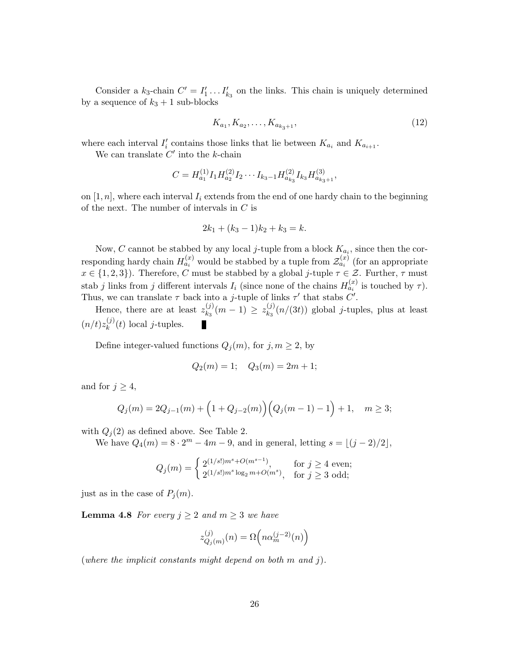Consider a  $k_3$ -chain  $C' = I'_1 \dots I'_{k_3}$  on the links. This chain is uniquely determined by a sequence of  $k_3 + 1$  sub-blocks

$$
K_{a_1}, K_{a_2}, \dots, K_{a_{k_3+1}}, \tag{12}
$$

where each interval  $I'_i$  contains those links that lie between  $K_{a_i}$  and  $K_{a_{i+1}}$ .

We can translate  $C'$  into the k-chain

$$
C = H_{a_1}^{(1)} I_1 H_{a_2}^{(2)} I_2 \cdots I_{k_3-1} H_{a_{k_3}}^{(2)} I_{k_3} H_{a_{k_3+1}}^{(3)},
$$

on  $[1, n]$ , where each interval  $I_i$  extends from the end of one hardy chain to the beginning of the next. The number of intervals in C is

$$
2k_1 + (k_3 - 1)k_2 + k_3 = k.
$$

Now, C cannot be stabbed by any local *j*-tuple from a block  $K_{a_i}$ , since then the corresponding hardy chain  $H_{a_i}^{(x)}$  would be stabbed by a tuple from  $\mathcal{Z}_{a_i}^{(x)}$  (for an appropriate  $x \in \{1,2,3\}$ . Therefore, C must be stabbed by a global j-tuple  $\tau \in \mathcal{Z}$ . Further,  $\tau$  must stab j links from j different intervals  $I_i$  (since none of the chains  $H_{a_i}^{(x)}$  is touched by  $\tau$ ). Thus, we can translate  $\tau$  back into a *j*-tuple of links  $\tau'$  that stabs  $C'$ .

Hence, there are at least  $z_{k_2}^{(j)}$  $\binom{(j)}{k_3}(m-1) \geq z_{k_3}^{(j)}$  $\binom{[j]}{k_3}(n/(3t))$  global *j*-tuples, plus at least  $(n/t)z_k^{(j)}$  $\int_k^{(j)}(t) \text{ local } j$ -tuples.

Define integer-valued functions  $Q_i(m)$ , for  $j, m \geq 2$ , by

$$
Q_2(m) = 1; \quad Q_3(m) = 2m + 1;
$$

and for  $j \geq 4$ ,

$$
Q_j(m) = 2Q_{j-1}(m) + \left(1 + Q_{j-2}(m)\right)\left(Q_j(m-1) - 1\right) + 1, \quad m \ge 3;
$$

with  $Q_i(2)$  as defined above. See Table 2.

We have  $Q_4(m) = 8 \cdot 2^m - 4m - 9$ , and in general, letting  $s = \lfloor (j - 2)/2 \rfloor$ ,

$$
Q_j(m) = \begin{cases} 2^{(1/s!)m^s + O(m^{s-1})}, & \text{for } j \ge 4 \text{ even}; \\ 2^{(1/s!)m^s \log_2 m + O(m^s)}, & \text{for } j \ge 3 \text{ odd}; \end{cases}
$$

just as in the case of  $P_i(m)$ .

**Lemma 4.8** For every  $j \geq 2$  and  $m \geq 3$  we have

$$
z_{Q_j(m)}^{(j)}(n) = \Omega\left(n\alpha_m^{(j-2)}(n)\right)
$$

(where the implicit constants might depend on both  $m$  and  $j$ ).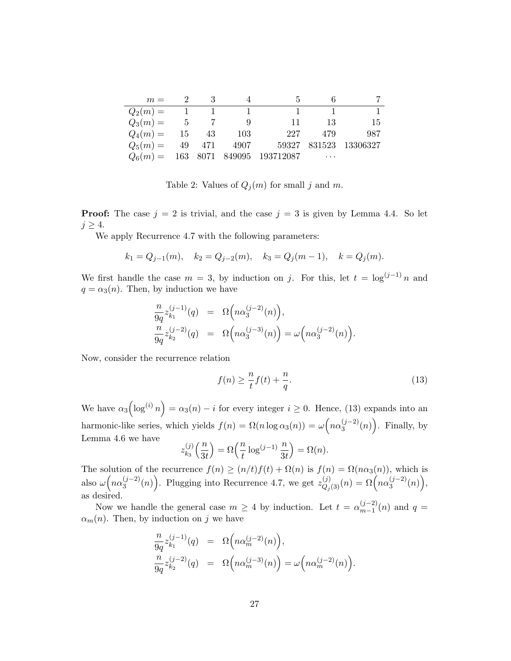| $m =$      |                                   |       |             |                                      |          |                       |
|------------|-----------------------------------|-------|-------------|--------------------------------------|----------|-----------------------|
| $Q_2(m) =$ | $\begin{array}{cc} 1 \end{array}$ |       |             |                                      |          |                       |
| $Q_3(m) =$ | $5\degree$                        |       |             | 11                                   | 13       | -15                   |
| $Q_4(m) =$ |                                   | 15 43 | - 103       | 227                                  | 479      | 987                   |
| $Q_5(m) =$ |                                   |       | 49 471 4907 |                                      |          | 59327 831523 13306327 |
|            |                                   |       |             | $Q_6(m) = 163$ 8071 849095 193712087 | $\cdots$ |                       |

Table 2: Values of  $Q_j(m)$  for small j and m.

**Proof:** The case  $j = 2$  is trivial, and the case  $j = 3$  is given by Lemma 4.4. So let  $j \geq 4$ .

We apply Recurrence 4.7 with the following parameters:

$$
k_1 = Q_{j-1}(m)
$$
,  $k_2 = Q_{j-2}(m)$ ,  $k_3 = Q_j(m-1)$ ,  $k = Q_j(m)$ .

We first handle the case  $m = 3$ , by induction on j. For this, let  $t = \log^{(j-1)} n$  and  $q = \alpha_3(n)$ . Then, by induction we have

$$
\begin{array}{rcl} \frac{n}{9q}z_{k_1}^{(j-1)}(q) &=& \Omega\Big(n\alpha_3^{(j-2)}(n)\Big), \\ \frac{n}{9q}z_{k_2}^{(j-2)}(q) &=& \Omega\Big(n\alpha_3^{(j-3)}(n)\Big) = \omega\Big(n\alpha_3^{(j-2)}(n)\Big). \end{array}
$$

Now, consider the recurrence relation

$$
f(n) \ge \frac{n}{t} f(t) + \frac{n}{q}.\tag{13}
$$

We have  $\alpha_3(\log^{(i)} n) = \alpha_3(n) - i$  for every integer  $i \geq 0$ . Hence, (13) expands into an harmonic-like series, which yields  $f(n) = \Omega(n \log \alpha_3(n)) = \omega \left( n \alpha_3^{(j-2)} \right)$  $\binom{(j-2)}{3}(n)$ . Finally, by Lemma 4.6 we have

$$
z_{k_3}^{(j)}\Big(\frac{n}{3t}\Big)=\Omega\Big(\frac{n}{t}\log^{(j-1)}\frac{n}{3t}\Big)=\Omega(n).
$$

The solution of the recurrence  $f(n) \ge (n/t)f(t) + \Omega(n)$  is  $f(n) = \Omega(n\alpha_3(n))$ , which is also  $\omega (n\alpha_3^{(j-2)}$  $\binom{(j-2)}{3}(n)$ . Plugging into Recurrence 4.7, we get  $z_{Q_j(3)}^{(j)}(n) = \Omega\left(n\alpha_3^{(j-2)}\right)$  $\binom{(j-2)}{3}(n)$ , as desired.

Now we handle the general case  $m \geq 4$  by induction. Let  $t = \alpha_{m-1}^{(j-2)}$  $\binom{(J-2)}{m-1}(n)$  and  $q=$  $\alpha_m(n)$ . Then, by induction on j we have

$$
\frac{n}{9q}z_{k_1}^{(j-1)}(q) = \Omega\left(n\alpha_m^{(j-2)}(n)\right),
$$
  
\n
$$
\frac{n}{9q}z_{k_2}^{(j-2)}(q) = \Omega\left(n\alpha_m^{(j-3)}(n)\right) = \omega\left(n\alpha_m^{(j-2)}(n)\right).
$$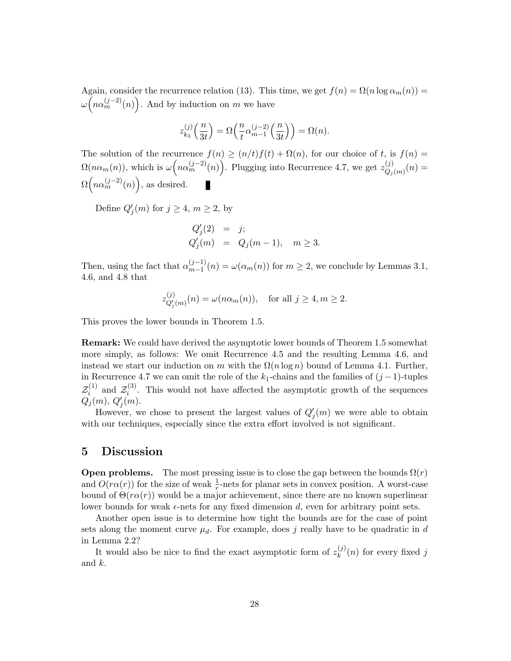Again, consider the recurrence relation (13). This time, we get  $f(n) = \Omega(n \log \alpha_m(n))$  $\omega\left(n\alpha_m^{(j-2)}(n)\right)$ . And by induction on m we have

$$
z_{k_3}^{(j)}\Big(\frac{n}{3t}\Big)=\Omega\Big(\frac{n}{t}\alpha_{m-1}^{(j-2)}\Big(\frac{n}{3t}\Big)\Big)=\Omega(n).
$$

The solution of the recurrence  $f(n) \ge (n/t)f(t) + \Omega(n)$ , for our choice of t, is  $f(n) =$  $\Omega(n\alpha_m(n))$ , which is  $\omega\left(n\alpha_m^{(j-2)}(n)\right)$ . Plugging into Recurrence 4.7, we get  $z_{Q_i}^{(j)}$  $Q_{j}(m)(n) =$  $\Omega\left(n\alpha_m^{(j-2)}(n)\right)$ , as desired.

Define  $Q'_j(m)$  for  $j \geq 4$ ,  $m \geq 2$ , by

$$
Q'_j(2) = j;
$$
  
\n $Q'_j(m) = Q_j(m-1), \quad m \ge 3.$ 

Then, using the fact that  $\alpha_{m-1}^{(j-1)}$  $\omega_{m-1}^{(j-1)}(n) = \omega(\alpha_m(n))$  for  $m \geq 2$ , we conclude by Lemmas 3.1, 4.6, and 4.8 that

$$
z_{Q'_j(m)}^{(j)}(n) = \omega(n\alpha_m(n)), \quad \text{for all } j \ge 4, m \ge 2.
$$

This proves the lower bounds in Theorem 1.5.

Remark: We could have derived the asymptotic lower bounds of Theorem 1.5 somewhat more simply, as follows: We omit Recurrence 4.5 and the resulting Lemma 4.6, and instead we start our induction on m with the  $\Omega(n \log n)$  bound of Lemma 4.1. Further, in Recurrence 4.7 we can omit the role of the  $k_1$ -chains and the families of  $(j-1)$ -tuples  $\mathcal{Z}_i^{(1)}$  $z_i^{(1)}$  and  $\mathcal{Z}_i^{(3)}$  $i<sup>(3)</sup>$ . This would not have affected the asymptotic growth of the sequences  $Q_j(m), Q'_j(m)$ .

However, we chose to present the largest values of  $Q'_{j}(m)$  we were able to obtain with our techniques, especially since the extra effort involved is not significant.

## 5 Discussion

**Open problems.** The most pressing issue is to close the gap between the bounds  $\Omega(r)$ and  $O(r\alpha(r))$  for the size of weak  $\frac{1}{r}$ -nets for planar sets in convex position. A worst-case bound of  $\Theta(r\alpha(r))$  would be a major achievement, since there are no known superlinear lower bounds for weak  $\epsilon$ -nets for any fixed dimension d, even for arbitrary point sets.

Another open issue is to determine how tight the bounds are for the case of point sets along the moment curve  $\mu_d$ . For example, does j really have to be quadratic in d in Lemma 2.2?

It would also be nice to find the exact asymptotic form of  $z_k^{(j)}$  $\binom{1}{k}(n)$  for every fixed j and k.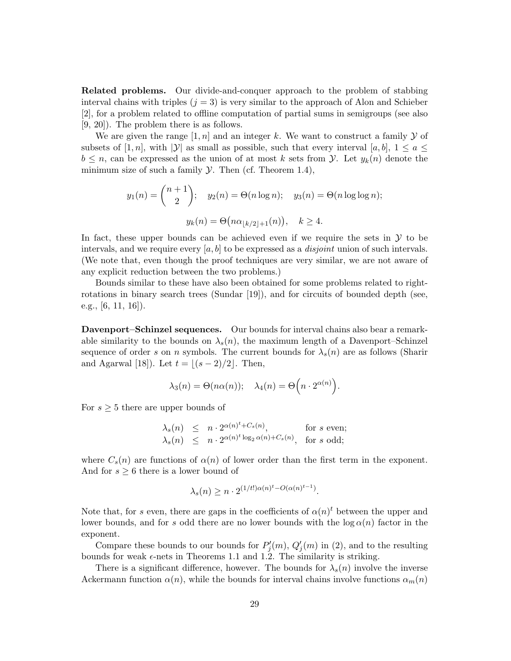Related problems. Our divide-and-conquer approach to the problem of stabbing interval chains with triples  $(j = 3)$  is very similar to the approach of Alon and Schieber [2], for a problem related to offline computation of partial sums in semigroups (see also [9, 20]). The problem there is as follows.

We are given the range  $[1, n]$  and an integer k. We want to construct a family  $\mathcal Y$  of subsets of [1, n], with  $|\mathcal{Y}|$  as small as possible, such that every interval [a, b],  $1 \le a \le$  $b \leq n$ , can be expressed as the union of at most k sets from y. Let  $y_k(n)$  denote the minimum size of such a family  $\mathcal Y$ . Then (cf. Theorem 1.4),

$$
y_1(n) = \binom{n+1}{2}; \quad y_2(n) = \Theta(n \log n); \quad y_3(n) = \Theta(n \log \log n);
$$

$$
y_k(n) = \Theta(n \alpha_{\lfloor k/2 \rfloor + 1}(n)), \quad k \ge 4.
$$

In fact, these upper bounds can be achieved even if we require the sets in  $\mathcal Y$  to be intervals, and we require every  $[a, b]$  to be expressed as a *disjoint* union of such intervals. (We note that, even though the proof techniques are very similar, we are not aware of any explicit reduction between the two problems.)

Bounds similar to these have also been obtained for some problems related to rightrotations in binary search trees (Sundar [19]), and for circuits of bounded depth (see, e.g., [6, 11, 16]).

Davenport–Schinzel sequences. Our bounds for interval chains also bear a remarkable similarity to the bounds on  $\lambda_s(n)$ , the maximum length of a Davenport–Schinzel sequence of order s on n symbols. The current bounds for  $\lambda_s(n)$  are as follows (Sharir and Agarwal [18]). Let  $t = \lfloor (s - 2)/2 \rfloor$ . Then,

$$
\lambda_3(n) = \Theta(n\alpha(n)); \quad \lambda_4(n) = \Theta\left(n \cdot 2^{\alpha(n)}\right).
$$

For  $s \geq 5$  there are upper bounds of

$$
\lambda_s(n) \leq n \cdot 2^{\alpha(n)^t + C_s(n)}, \quad \text{for } s \text{ even};
$$
  

$$
\lambda_s(n) \leq n \cdot 2^{\alpha(n)^t \log_2 \alpha(n) + C_s(n)}, \quad \text{for } s \text{ odd};
$$

where  $C_s(n)$  are functions of  $\alpha(n)$  of lower order than the first term in the exponent. And for  $s \geq 6$  there is a lower bound of

$$
\lambda_s(n) \ge n \cdot 2^{(1/t!) \alpha(n)^t - O(\alpha(n)^{t-1})}.
$$

Note that, for s even, there are gaps in the coefficients of  $\alpha(n)^t$  between the upper and lower bounds, and for s odd there are no lower bounds with the  $log \alpha(n)$  factor in the exponent.

Compare these bounds to our bounds for  $P'_{j}(m)$ ,  $Q'_{j}(m)$  in (2), and to the resulting bounds for weak  $\epsilon$ -nets in Theorems 1.1 and 1.2. The similarity is striking.

There is a significant difference, however. The bounds for  $\lambda_s(n)$  involve the inverse Ackermann function  $\alpha(n)$ , while the bounds for interval chains involve functions  $\alpha_m(n)$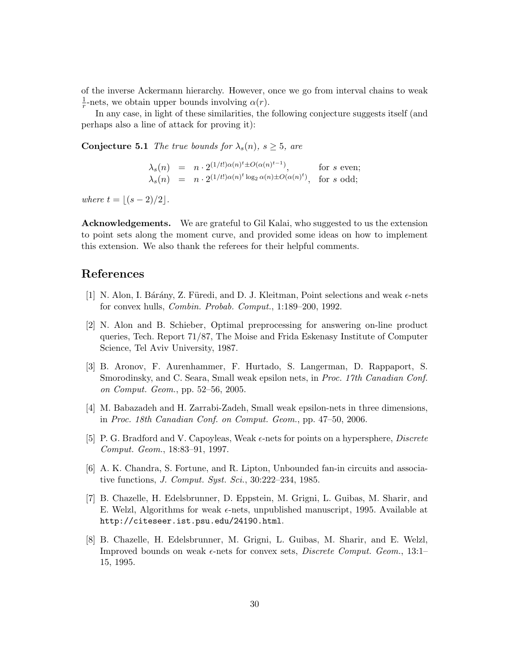of the inverse Ackermann hierarchy. However, once we go from interval chains to weak 1  $\frac{1}{r}$ -nets, we obtain upper bounds involving  $\alpha(r)$ .

In any case, in light of these similarities, the following conjecture suggests itself (and perhaps also a line of attack for proving it):

**Conjecture 5.1** The true bounds for  $\lambda_s(n)$ ,  $s \geq 5$ , are

$$
\lambda_s(n) = n \cdot 2^{(1/t!) \alpha(n)^t \pm O(\alpha(n)^{t-1})}, \quad \text{for } s \text{ even};
$$
  
\n
$$
\lambda_s(n) = n \cdot 2^{(1/t!) \alpha(n)^t \log_2 \alpha(n) \pm O(\alpha(n)^t)}, \quad \text{for } s \text{ odd};
$$

where  $t = |(s - 2)/2|$ .

Acknowledgements. We are grateful to Gil Kalai, who suggested to us the extension to point sets along the moment curve, and provided some ideas on how to implement this extension. We also thank the referees for their helpful comments.

# References

- [1] N. Alon, I. Bárány, Z. Füredi, and D. J. Kleitman, Point selections and weak  $\epsilon$ -nets for convex hulls, Combin. Probab. Comput., 1:189–200, 1992.
- [2] N. Alon and B. Schieber, Optimal preprocessing for answering on-line product queries, Tech. Report 71/87, The Moise and Frida Eskenasy Institute of Computer Science, Tel Aviv University, 1987.
- [3] B. Aronov, F. Aurenhammer, F. Hurtado, S. Langerman, D. Rappaport, S. Smorodinsky, and C. Seara, Small weak epsilon nets, in *Proc. 17th Canadian Conf.* on Comput. Geom., pp. 52–56, 2005.
- [4] M. Babazadeh and H. Zarrabi-Zadeh, Small weak epsilon-nets in three dimensions, in Proc. 18th Canadian Conf. on Comput. Geom., pp. 47–50, 2006.
- [5] P. G. Bradford and V. Capoyleas, Weak  $\epsilon$ -nets for points on a hypersphere, *Discrete* Comput. Geom., 18:83–91, 1997.
- [6] A. K. Chandra, S. Fortune, and R. Lipton, Unbounded fan-in circuits and associative functions, *J. Comput. Syst. Sci.*, 30:222-234, 1985.
- [7] B. Chazelle, H. Edelsbrunner, D. Eppstein, M. Grigni, L. Guibas, M. Sharir, and E. Welzl, Algorithms for weak  $\epsilon$ -nets, unpublished manuscript, 1995. Available at http://citeseer.ist.psu.edu/24190.html.
- [8] B. Chazelle, H. Edelsbrunner, M. Grigni, L. Guibas, M. Sharir, and E. Welzl, Improved bounds on weak  $\epsilon$ -nets for convex sets, *Discrete Comput. Geom.*, 13:1– 15, 1995.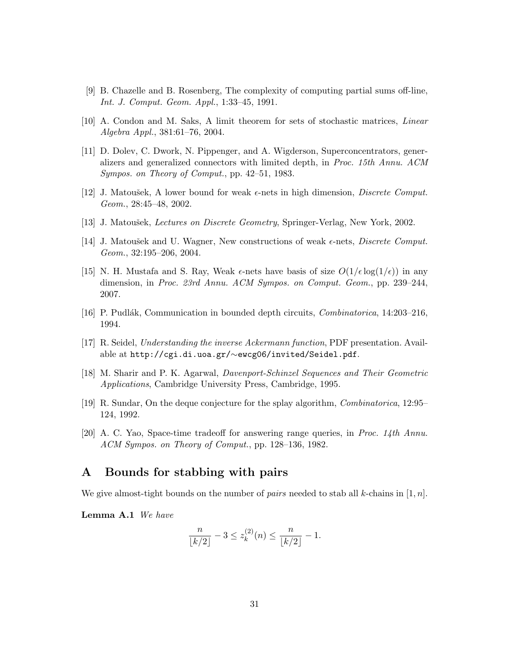- [9] B. Chazelle and B. Rosenberg, The complexity of computing partial sums off-line, Int. J. Comput. Geom. Appl., 1:33–45, 1991.
- [10] A. Condon and M. Saks, A limit theorem for sets of stochastic matrices, Linear Algebra Appl., 381:61–76, 2004.
- [11] D. Dolev, C. Dwork, N. Pippenger, and A. Wigderson, Superconcentrators, generalizers and generalized connectors with limited depth, in Proc. 15th Annu. ACM Sympos. on Theory of Comput., pp. 42–51, 1983.
- [12] J. Matoušek, A lower bound for weak  $\epsilon$ -nets in high dimension, *Discrete Comput.* Geom., 28:45–48, 2002.
- [13] J. Matoušek, *Lectures on Discrete Geometry*, Springer-Verlag, New York, 2002.
- [14] J. Matoušek and U. Wagner, New constructions of weak  $\epsilon$ -nets, *Discrete Comput.* Geom., 32:195–206, 2004.
- [15] N. H. Mustafa and S. Ray, Weak  $\epsilon$ -nets have basis of size  $O(1/\epsilon \log(1/\epsilon))$  in any dimension, in Proc. 23rd Annu. ACM Sympos. on Comput. Geom., pp. 239–244, 2007.
- [16] P. Pudlák, Communication in bounded depth circuits, *Combinatorica*, 14:203–216, 1994.
- [17] R. Seidel, Understanding the inverse Ackermann function, PDF presentation. Available at http://cgi.di.uoa.gr/∼ewcg06/invited/Seidel.pdf.
- [18] M. Sharir and P. K. Agarwal, Davenport-Schinzel Sequences and Their Geometric Applications, Cambridge University Press, Cambridge, 1995.
- [19] R. Sundar, On the deque conjecture for the splay algorithm, Combinatorica, 12:95– 124, 1992.
- [20] A. C. Yao, Space-time tradeoff for answering range queries, in Proc. 14th Annu. ACM Sympos. on Theory of Comput., pp. 128–136, 1982.

## A Bounds for stabbing with pairs

We give almost-tight bounds on the number of *pairs* needed to stab all k-chains in [1, n].

Lemma A.1 We have

$$
\frac{n}{\lfloor k/2 \rfloor} - 3 \le z_k^{(2)}(n) \le \frac{n}{\lfloor k/2 \rfloor} - 1.
$$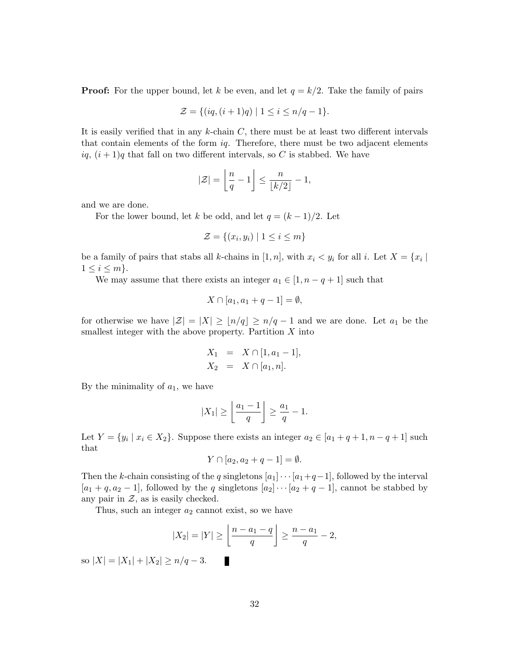**Proof:** For the upper bound, let k be even, and let  $q = k/2$ . Take the family of pairs

$$
\mathcal{Z} = \{ (iq, (i+1)q) \mid 1 \le i \le n/q-1 \}.
$$

It is easily verified that in any  $k$ -chain  $C$ , there must be at least two different intervals that contain elements of the form  $iq$ . Therefore, there must be two adjacent elements  $iq, (i + 1)q$  that fall on two different intervals, so C is stabbed. We have

$$
|\mathcal{Z}| = \left\lfloor \frac{n}{q} - 1 \right\rfloor \le \frac{n}{\lfloor k/2 \rfloor} - 1,
$$

and we are done.

For the lower bound, let k be odd, and let  $q = (k-1)/2$ . Let

$$
\mathcal{Z} = \{(x_i, y_i) \mid 1 \le i \le m\}
$$

be a family of pairs that stabs all k-chains in  $[1, n]$ , with  $x_i \lt y_i$  for all i. Let  $X = \{x_i \mid$  $1 \leq i \leq m$ .

We may assume that there exists an integer  $a_1 \in [1, n - q + 1]$  such that

$$
X\cap [a_1,a_1+q-1]=\emptyset,
$$

for otherwise we have  $|\mathcal{Z}| = |X| \geq |n/q| \geq n/q-1$  and we are done. Let  $a_1$  be the smallest integer with the above property. Partition  $X$  into

$$
X_1 = X \cap [1, a_1 - 1],
$$
  

$$
X_2 = X \cap [a_1, n].
$$

By the minimality of  $a_1$ , we have

$$
|X_1| \ge \left\lfloor \frac{a_1 - 1}{q} \right\rfloor \ge \frac{a_1}{q} - 1.
$$

Let  $Y = \{y_i \mid x_i \in X_2\}$ . Suppose there exists an integer  $a_2 \in [a_1 + q + 1, n - q + 1]$  such that

$$
Y \cap [a_2, a_2 + q - 1] = \emptyset.
$$

Then the k-chain consisting of the q singletons  $[a_1] \cdots [a_1 + q - 1]$ , followed by the interval  $[a_1 + q, a_2 - 1]$ , followed by the q singletons  $[a_2] \cdots [a_2 + q - 1]$ , cannot be stabbed by any pair in  $Z$ , as is easily checked.

Thus, such an integer  $a_2$  cannot exist, so we have

$$
|X_2| = |Y| \ge \left\lfloor \frac{n - a_1 - q}{q} \right\rfloor \ge \frac{n - a_1}{q} - 2,
$$
 so  $|X| = |X_1| + |X_2| \ge n/q - 3$ .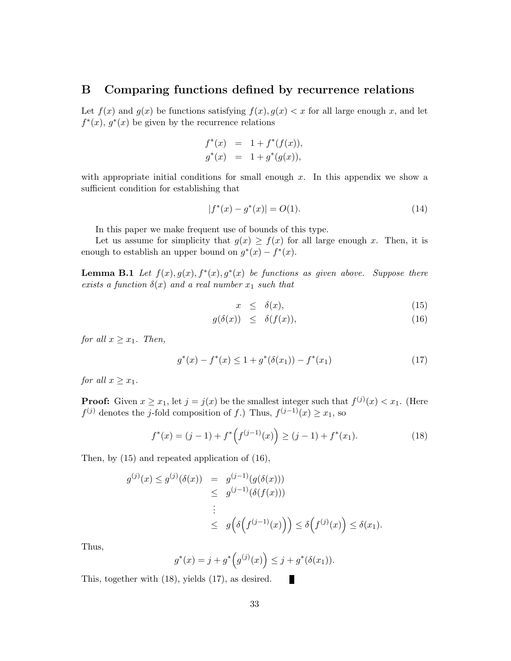## B Comparing functions defined by recurrence relations

Let  $f(x)$  and  $g(x)$  be functions satisfying  $f(x), g(x) < x$  for all large enough x, and let  $f^*(x)$ ,  $g^*(x)$  be given by the recurrence relations

$$
f^*(x) = 1 + f^*(f(x)),
$$
  
\n
$$
g^*(x) = 1 + g^*(g(x)),
$$

with appropriate initial conditions for small enough  $x$ . In this appendix we show a sufficient condition for establishing that

$$
|f^*(x) - g^*(x)| = O(1). \tag{14}
$$

In this paper we make frequent use of bounds of this type.

Let us assume for simplicity that  $g(x) \geq f(x)$  for all large enough x. Then, it is enough to establish an upper bound on  $g^*(x) - f^*(x)$ .

**Lemma B.1** Let  $f(x), g(x), f^*(x), g^*(x)$  be functions as given above. Suppose there exists a function  $\delta(x)$  and a real number  $x_1$  such that

$$
x \le \delta(x), \tag{15}
$$

$$
g(\delta(x)) \leq \delta(f(x)), \tag{16}
$$

for all  $x \geq x_1$ . Then,

$$
g^*(x) - f^*(x) \le 1 + g^*(\delta(x_1)) - f^*(x_1)
$$
\n(17)

for all  $x \geq x_1$ .

**Proof:** Given  $x \ge x_1$ , let  $j = j(x)$  be the smallest integer such that  $f^{(j)}(x) < x_1$ . (Here  $f^{(j)}$  denotes the j-fold composition of f.) Thus,  $f^{(j-1)}(x) \geq x_1$ , so

$$
f^*(x) = (j-1) + f^*\left(f^{(j-1)}(x)\right) \ge (j-1) + f^*(x_1). \tag{18}
$$

П

Then, by (15) and repeated application of (16),

$$
g^{(j)}(x) \le g^{(j)}(\delta(x)) = g^{(j-1)}(g(\delta(x)))
$$
  
\n
$$
\le g^{(j-1)}(\delta(f(x)))
$$
  
\n
$$
\le g(\delta(f^{(j-1)}(x))) \le \delta(f^{(j)}(x)) \le \delta(x_1).
$$

Thus,

$$
g^*(x) = j + g^*\Big(g^{(j)}(x)\Big) \le j + g^*(\delta(x_1)).
$$

This, together with (18), yields (17), as desired.